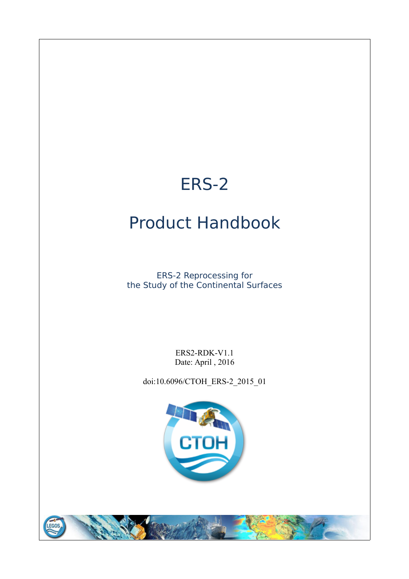# ERS-2

# Product Handbook

ERS-2 Reprocessing for the Study of the Continental Surfaces

> ERS2-RDK-V1.1 Date: April , 2016

doi:10.6096/CTOH\_ERS-2\_2015\_01



**EGO**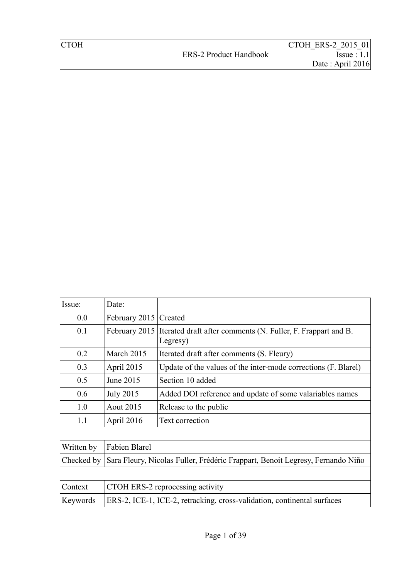| Issue:     | Date:                                                                         |                                                                                        |  |
|------------|-------------------------------------------------------------------------------|----------------------------------------------------------------------------------------|--|
| 0.0        | February 2015   Created                                                       |                                                                                        |  |
| 0.1        |                                                                               | February 2015 Iterated draft after comments (N. Fuller, F. Frappart and B.<br>Legresy) |  |
| 0.2        | March 2015                                                                    | Iterated draft after comments (S. Fleury)                                              |  |
| 0.3        | April 2015                                                                    | Update of the values of the inter-mode corrections (F. Blarel)                         |  |
| 0.5        | June 2015                                                                     | Section 10 added                                                                       |  |
| 0.6        | <b>July 2015</b>                                                              | Added DOI reference and update of some valariables names                               |  |
| 1.0        | <b>Aout 2015</b>                                                              | Release to the public                                                                  |  |
| 1.1        | April 2016                                                                    | Text correction                                                                        |  |
|            |                                                                               |                                                                                        |  |
| Written by | Fabien Blarel                                                                 |                                                                                        |  |
| Checked by | Sara Fleury, Nicolas Fuller, Frédéric Frappart, Benoit Legresy, Fernando Niño |                                                                                        |  |
|            |                                                                               |                                                                                        |  |
| Context    | CTOH ERS-2 reprocessing activity                                              |                                                                                        |  |
| Keywords   | ERS-2, ICE-1, ICE-2, retracking, cross-validation, continental surfaces       |                                                                                        |  |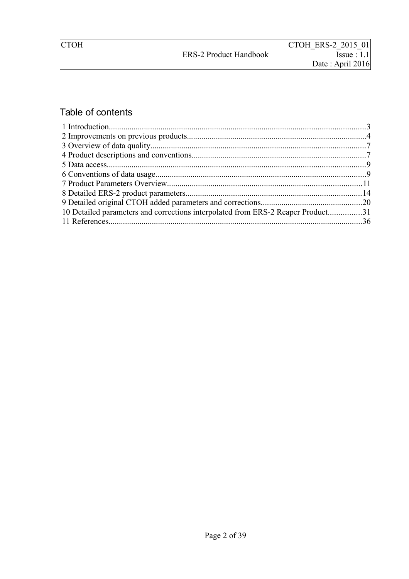# Table of contents

| 10 Detailed parameters and corrections interpolated from ERS-2 Reaper Product31 |  |
|---------------------------------------------------------------------------------|--|
|                                                                                 |  |
|                                                                                 |  |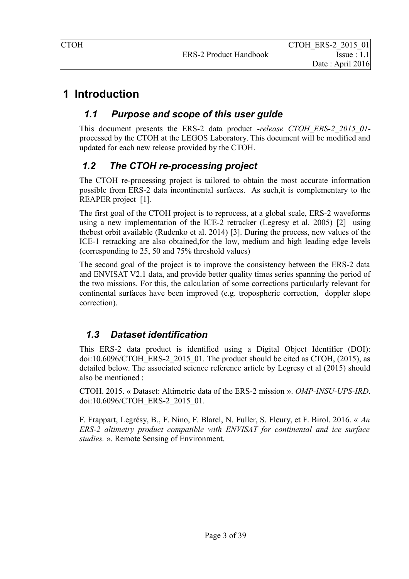# <span id="page-3-0"></span> **1 Introduction**

### *1.1 Purpose and scope of this user guide*

This document presents the ERS-2 data product *-release CTOH\_ERS-2\_2015\_01* processed by the CTOH at the LEGOS Laboratory. This document will be modified and updated for each new release provided by the CTOH.

### *1.2 The CTOH re-processing project*

The CTOH re-processing project is tailored to obtain the most accurate information possible from ERS-2 data incontinental surfaces. As such,it is complementary to the REAPER project [1].

The first goal of the CTOH project is to reprocess, at a global scale, ERS-2 waveforms using a new implementation of the ICE-2 retracker (Legresy et al. 2005) [2] using thebest orbit available (Rudenko et al. 2014) [3]. During the process, new values of the ICE-1 retracking are also obtained,for the low, medium and high leading edge levels (corresponding to 25, 50 and 75% threshold values)

The second goal of the project is to improve the consistency between the ERS-2 data and ENVISAT V2.1 data, and provide better quality times series spanning the period of the two missions. For this, the calculation of some corrections particularly relevant for continental surfaces have been improved (e.g. tropospheric correction, doppler slope correction).

### *1.3 Dataset identification*

This ERS-2 data product is identified using a Digital Object Identifier (DOI): doi:10.6096/CTOH\_ERS-2\_2015\_01. The product should be cited as CTOH, (2015), as detailed below. The associated science reference article by Legresy et al (2015) should also be mentioned :

CTOH. 2015. « Dataset: Altimetric data of the ERS-2 mission ». *OMP-INSU-UPS-IRD*. doi:10.6096/CTOH\_ERS-2\_2015\_01.

F. Frappart, Legrésy, B., F. Nino, F. Blarel, N. Fuller, S. Fleury, et F. Birol. 2016. « *An ERS-2 altimetry product compatible with ENVISAT for continental and ice surface studies.* ». Remote Sensing of Environment.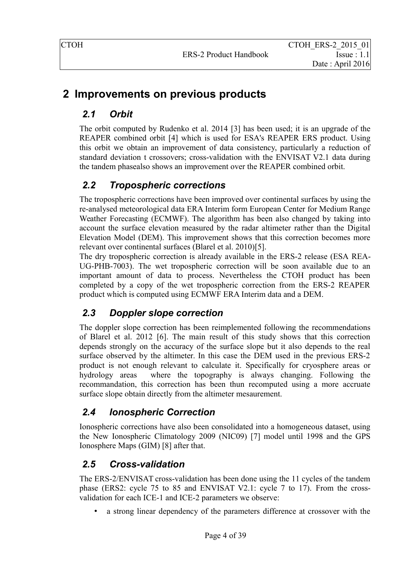# <span id="page-4-0"></span> **2 Improvements on previous products**

## *2.1 Orbit*

The orbit computed by Rudenko et al. 2014 [3] has been used; it is an upgrade of the REAPER combined orbit [4] which is used for ESA's REAPER ERS product. Using this orbit we obtain an improvement of data consistency, particularly a reduction of standard deviation t crossovers; cross-validation with the ENVISAT V2.1 data during the tandem phasealso shows an improvement over the REAPER combined orbit.

# *2.2 Tropospheric corrections*

The tropospheric corrections have been improved over continental surfaces by using the re-analysed meteorological data ERA Interim form European Center for Medium Range Weather Forecasting (ECMWF). The algorithm has been also changed by taking into account the surface elevation measured by the radar altimeter rather than the Digital Elevation Model (DEM). This improvement shows that this correction becomes more relevant over continental surfaces (Blarel et al. 2010)[5].

The dry tropospheric correction is already available in the ERS-2 release (ESA REA-UG-PHB-7003). The wet tropospheric correction will be soon available due to an important amount of data to process. Nevertheless the CTOH product has been completed by a copy of the wet tropospheric correction from the ERS-2 REAPER product which is computed using ECMWF ERA Interim data and a DEM.

### *2.3 Doppler slope correction*

The doppler slope correction has been reimplemented following the recommendations of Blarel et al. 2012 [6]. The main result of this study shows that this correction depends strongly on the accuracy of the surface slope but it also depends to the real surface observed by the altimeter. In this case the DEM used in the previous ERS-2 product is not enough relevant to calculate it. Specifically for cryosphere areas or hydrology areas where the topography is always changing. Following the recommandation, this correction has been thun recomputed using a more accruate surface slope obtain directly from the altimeter mesaurement.

### *2.4 Ionospheric Correction*

Ionospheric corrections have also been consolidated into a homogeneous dataset, using the New Ionospheric Climatology 2009 (NIC09) [7] model until 1998 and the GPS Ionosphere Maps (GIM) [8] after that.

### *2.5 Cross-validation*

The ERS-2/ENVISAT cross-validation has been done using the 11 cycles of the tandem phase (ERS2: cycle 75 to 85 and ENVISAT V2.1: cycle 7 to 17). From the crossvalidation for each ICE-1 and ICE-2 parameters we observe:

• a strong linear dependency of the parameters difference at crossover with the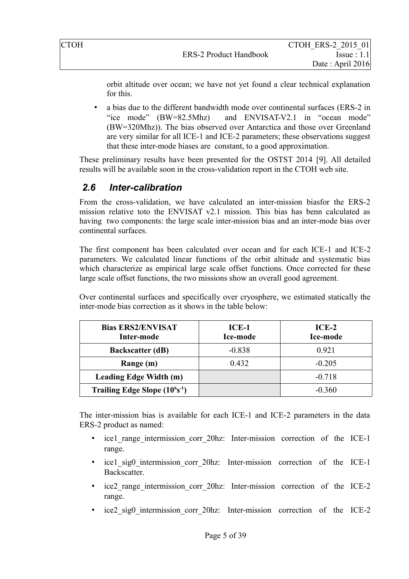orbit altitude over ocean; we have not yet found a clear technical explanation for this.

• a bias due to the different bandwidth mode over continental surfaces (ERS-2 in "ice mode" (BW=82.5Mhz) and ENVISAT-V2.1 in "ocean mode" (BW=320Mhz)). The bias observed over Antarctica and those over Greenland are very similar for all ICE-1 and ICE-2 parameters; these observations suggest that these inter-mode biases are constant, to a good approximation.

These preliminary results have been presented for the OSTST 2014 [9]. All detailed results will be available soon in the cross-validation report in the CTOH web site.

### *2.6 Inter-calibration*

From the cross-validation, we have calculated an inter-mission biasfor the ERS-2 mission relative toto the ENVISAT v2.1 mission. This bias has benn calculated as having two components: the large scale inter-mission bias and an inter-mode bias over continental surfaces.

The first component has been calculated over ocean and for each ICE-1 and ICE-2 parameters. We calculated linear functions of the orbit altitude and systematic bias which characterize as empirical large scale offset functions. Once corrected for these large scale offset functions, the two missions show an overall good agreement.

Over continental surfaces and specifically over cryosphere, we estimated statically the inter-mode bias correction as it shows in the table below:

| <b>Bias ERS2/ENVISAT</b><br>Inter-mode | ICE-1<br><b>Ice-mode</b> | $ICE-2$<br>Ice-mode |
|----------------------------------------|--------------------------|---------------------|
| <b>Backscatter (dB)</b>                | $-0.838$                 | 0.921               |
| Range (m)                              | 0.432                    | $-0.205$            |
| <b>Leading Edge Width (m)</b>          |                          | $-0.718$            |
| Trailing Edge Slope $(10^6s^{-1})$     |                          | $-0.360$            |

The inter-mission bias is available for each ICE-1 and ICE-2 parameters in the data ERS-2 product as named:

- ice1 range intermission corr 20hz: Inter-mission correction of the ICE-1 range.
- ice1 sig0 intermission corr 20hz: Inter-mission correction of the ICE-1 **Backscatter**
- ice2 range intermission corr 20hz: Inter-mission correction of the ICE-2 range.
- ice2 sig0 intermission corr 20hz: Inter-mission correction of the ICE-2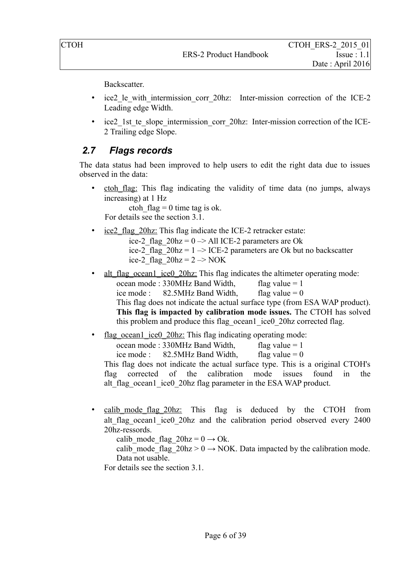Backscatter.

- ice2 le with intermission corr 20hz: Inter-mission correction of the ICE-2 Leading edge Width.
- ice2 1st te slope intermission corr 20hz: Inter-mission correction of the ICE-2 Trailing edge Slope.

### <span id="page-6-0"></span> *2.7 Flags records*

The data status had been improved to help users to edit the right data due to issues observed in the data:

ctoh flag: This flag indicating the validity of time data (no jumps, always increasing) at 1 Hz ctoh  $flaq = 0$  time tag is ok.

For details see the section [3.1.](#page-7-2)

- ice2 flag 20hz: This flag indicate the ICE-2 retracker estate:
	- ice-2 flag  $20hz = 0 \rightarrow All ICE-2 parameters are Ok$ ice-2 flag  $20hz = 1 \rightarrow ICE-2$  parameters are Ok but no backscatter ice-2\_flag\_20hz =  $2 \rightarrow NOK$
- alt flag\_ocean1\_ice0\_20hz: This flag indicates the altimeter operating mode: ocean mode :  $330MHz$  Band Width, flag value = 1 ice mode :  $82.5\text{MHz}$  Band Width, flag value = 0 This flag does not indicate the actual surface type (from ESA WAP product). **This flag is impacted by calibration mode issues.** The CTOH has solved this problem and produce this flag\_ocean1\_ice0\_20hz corrected flag.
- flag\_ocean1\_ice0\_20hz: This flag\_indicating operating mode: ocean mode :  $330MHz$  Band Width, flag value = 1 ice mode :  $82.5\text{MHz}$  Band Width, flag value = 0 This flag does not indicate the actual surface type. This is a original CTOH's flag corrected of the calibration mode issues found in the alt flag\_ocean1\_ice0\_20hz flag parameter in the ESA WAP product.
- calib mode flag 20hz: This flag is deduced by the CTOH from alt flag ocean1 ice0 20hz and the calibration period observed every 2400 20hz-ressords.

calib mode flag  $20hz = 0 \rightarrow Ok$ .

calib mode flag  $20\text{hz} > 0 \rightarrow \text{NOK}$ . Data impacted by the calibration mode. Data not usable.

For details see the section [3.1.](#page-7-2)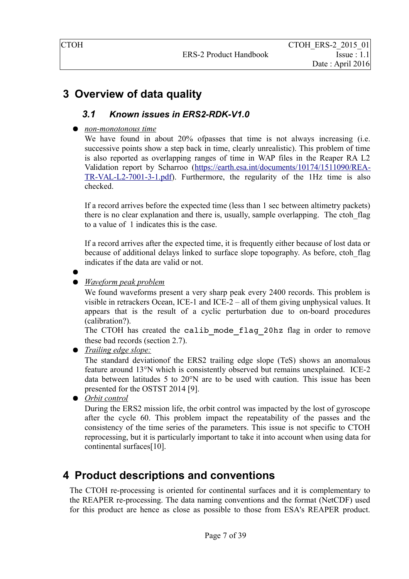# <span id="page-7-0"></span> **3 Overview of data quality**

### <span id="page-7-2"></span> *3.1 Known issues in ERS2-RDK-V1.0*

### ● *non-monotonous time*

We have found in about 20% ofpasses that time is not always increasing (i.e. successive points show a step back in time, clearly unrealistic). This problem of time is also reported as overlapping ranges of time in WAP files in the Reaper RA L2 Validation report by Scharroo [\(https://earth.esa.int/documents/10174/1511090/REA-](https://earth.esa.int/documents/10174/1511090/REA-TR-VAL-L2-7001-3-1.pdf)[TR-VAL-L2-7001-3-1.pdf\)](https://earth.esa.int/documents/10174/1511090/REA-TR-VAL-L2-7001-3-1.pdf). Furthermore, the regularity of the 1Hz time is also checked.

If a record arrives before the expected time (less than 1 sec between altimetry packets) there is no clear explanation and there is, usually, sample overlapping. The ctoh\_flag to a value of 1 indicates this is the case.

If a record arrives after the expected time, it is frequently either because of lost data or because of additional delays linked to surface slope topography. As before, ctoh\_flag indicates if the data are valid or not.

●

● *Waveform peak problem*

We found waveforms present a very sharp peak every 2400 records. This problem is visible in retrackers Ocean, ICE-1 and ICE-2 – all of them giving unphysical values. It appears that is the result of a cyclic perturbation due to on-board procedures (calibration?).

The CTOH has created the calib mode flag 20hz flag in order to remove these bad records (section [2.7\)](#page-6-0).

● *Trailing edge slope:*

The standard deviationof the ERS2 trailing edge slope (TeS) shows an anomalous feature around 13°N which is consistently observed but remains unexplained. ICE-2 data between latitudes 5 to 20°N are to be used with caution. This issue has been presented for the OSTST 2014 [9].

● *Orbit control* 

During the ERS2 mission life, the orbit control was impacted by the lost of gyroscope after the cycle 60. This problem impact the repeatability of the passes and the consistency of the time series of the parameters. This issue is not specific to CTOH reprocessing, but it is particularly important to take it into account when using data for continental surfaces[10].

### <span id="page-7-1"></span> **4 Product descriptions and conventions**

The CTOH re-processing is oriented for continental surfaces and it is complementary to the REAPER re-processing. The data naming conventions and the format (NetCDF) used for this product are hence as close as possible to those from ESA's REAPER product.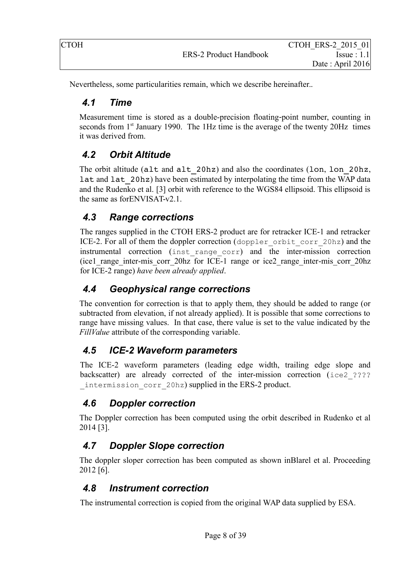| CTOH |                               | CTOH ERS-2 2015 01 |
|------|-------------------------------|--------------------|
|      | <b>ERS-2 Product Handbook</b> | Issue: 1.1         |
|      |                               | Date: April 2016   |

Nevertheless, some particularities remain, which we describe hereinafter..

### *4.1 Time*

Measurement time is stored as a double-precision floating-point number, counting in seconds from 1<sup>st</sup> January 1990. The 1Hz time is the average of the twenty 20Hz times it was derived from.

### *4.2 Orbit Altitude*

The orbit altitude (alt and alt 20hz) and also the coordinates (lon, lon 20hz, lat and lat 20hz) have been estimated by interpolating the time from the WAP data and the Rudenko et al. [3] orbit with reference to the WGS84 ellipsoid. This ellipsoid is the same as forENVISAT-v2.1.

### *4.3 Range corrections*

The ranges supplied in the CTOH ERS-2 product are for retracker ICE-1 and retracker ICE-2. For all of them the doppler correction (doppler orbit corr 20hz) and the instrumental correction (inst\_range\_corr) and the inter-mission correction (ice1\_range\_inter-mis\_corr\_20hz for ICE-1 range or ice2\_range\_inter-mis\_corr\_20hz for ICE-2 range) *have been already applied*.

### *4.4 Geophysical range corrections*

The convention for correction is that to apply them, they should be added to range (or subtracted from elevation, if not already applied). It is possible that some corrections to range have missing values. In that case, there value is set to the value indicated by the *FillValue* attribute of the corresponding variable.

### *4.5 ICE-2 Waveform parameters*

The ICE-2 waveform parameters (leading edge width, trailing edge slope and backscatter) are already corrected of the inter-mission correction (ice2 ???? intermission corr 20hz) supplied in the ERS-2 product.

### *4.6 Doppler correction*

The Doppler correction has been computed using the orbit described in Rudenko et al 2014 [3].

### *4.7 Doppler Slope correction*

The doppler sloper correction has been computed as shown inBlarel et al. Proceeding 2012 [6].

### *4.8 Instrument correction*

The instrumental correction is copied from the original WAP data supplied by ESA.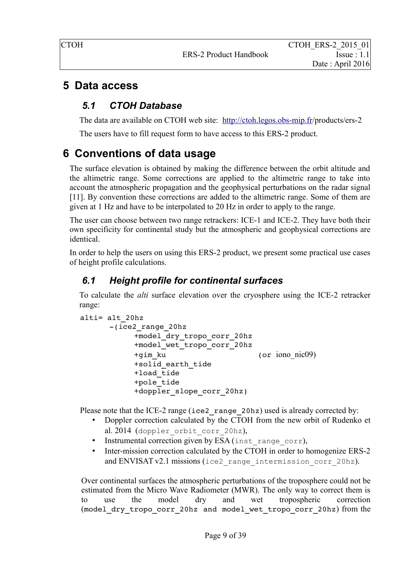### <span id="page-9-0"></span> **5 Data access**

### *5.1 CTOH Database*

The data are available on CTOH web site: <http://ctoh.legos.obs-mip.fr/>products/ers-2

The users have to fill request form to have access to this ERS-2 product.

# <span id="page-9-1"></span> **6 Conventions of data usage**

The surface elevation is obtained by making the difference between the orbit altitude and the altimetric range. Some corrections are applied to the altimetric range to take into account the atmospheric propagation and the geophysical perturbations on the radar signal [11]. By convention these corrections are added to the altimetric range. Some of them are given at 1 Hz and have to be interpolated to 20 Hz in order to apply to the range.

The user can choose between two range retrackers: ICE-1 and ICE-2. They have both their own specificity for continental study but the atmospheric and geophysical corrections are identical.

In order to help the users on using this ERS-2 product, we present some practical use cases of height profile calculations.

# *6.1 Height profile for continental surfaces*

To calculate the *alti* surface elevation over the cryosphere using the ICE-2 retracker range:

```
alti= alt_20hz
      (ice2_range_20hz
           +model_dry_tropo_corr_20hz
           +model_wet_tropo_corr_20hz
           +gim_ku  (or iono_nic09)
           +solid_earth_tide
           +load \overline{t}ide
           +pole_tide
           +doppler slope corr 20hz)
```
Please note that the ICE-2 range (ice2 range 20hz) used is already corrected by:

- Doppler correction calculated by the CTOH from the new orbit of Rudenko et al. 2014 (doppler orbit corr 20hz),
- Instrumental correction given by ESA (inst\_range\_corr),
- Inter-mission correction calculated by the CTOH in order to homogenize ERS-2 and ENVISAT v2.1 missions (ice2 range intermission corr 20hz).

Over continental surfaces the atmospheric perturbations of the troposphere could not be estimated from the Micro Wave Radiometer (MWR). The only way to correct them is to use the model dry and wet tropospheric correction (model\_dry\_tropo\_corr\_20hz and model\_wet\_tropo\_corr\_20hz) from the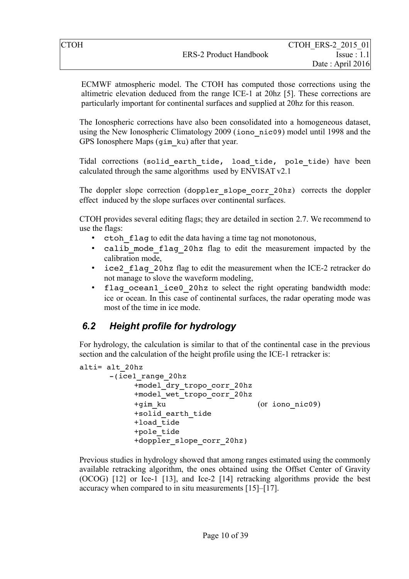ECMWF atmospheric model. The CTOH has computed those corrections using the altimetric elevation deduced from the range ICE-1 at 20hz [5]. These corrections are particularly important for continental surfaces and supplied at 20hz for this reason.

The Ionospheric corrections have also been consolidated into a homogeneous dataset, using the New Ionospheric Climatology 2009 (iono\_nic09) model until 1998 and the GPS Ionosphere Maps (gim\_ku) after that year.

Tidal corrections (solid earth tide, load tide, pole tide) have been calculated through the same algorithms used by ENVISAT v2.1

The doppler slope correction (doppler slope corr 20hz) corrects the doppler effect induced by the slope surfaces over continental surfaces.

CTOH provides several editing flags; they are detailed in section [2.7.](#page-6-0) We recommend to use the flags:

- ctoh flag to edit the data having a time tag not monotonous,
- calib mode flag 20hz flag to edit the measurement impacted by the calibration mode,
- ice2 flag 20hz flag to edit the measurement when the ICE-2 retracker do not manage to slove the waveform modeling,
- flag ocean1 ice0 20hz to select the right operating bandwidth mode: ice or ocean. In this case of continental surfaces, the radar operating mode was most of the time in ice mode.

### *6.2 Height profile for hydrology*

For hydrology, the calculation is similar to that of the continental case in the previous section and the calculation of the height profile using the ICE-1 retracker is:

```
alti= alt_20hz
      -(ice1~range~20hz)+model_dry_tropo_corr_20hz
           +model_wet_tropo_corr_20hz
           +gim_ku  (or iono_nic09)
           +solid_earth_tide
           +load_tide
           +pole_tide
           +doppler slope corr 20hz)
```
Previous studies in hydrology showed that among ranges estimated using the commonly available retracking algorithm, the ones obtained using the Offset Center of Gravity (OCOG) [12] or Ice-1 [13], and Ice-2 [14] retracking algorithms provide the best accuracy when compared to in situ measurements [15]–[17].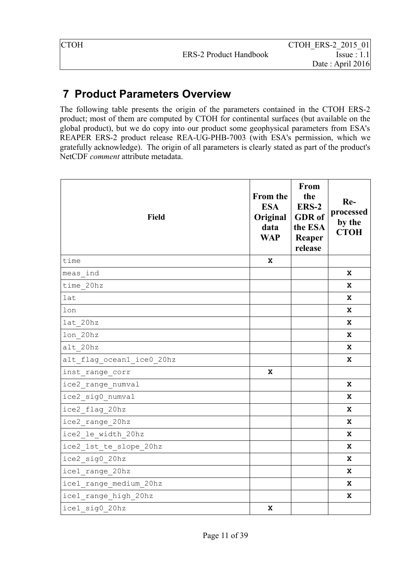# <span id="page-11-0"></span> **7 Product Parameters Overview**

The following table presents the origin of the parameters contained in the CTOH ERS-2 product; most of them are computed by CTOH for continental surfaces (but available on the global product), but we do copy into our product some geophysical parameters from ESA's REAPER ERS-2 product release REA-UG-PHB-7003 (with ESA's permission, which we gratefully acknowledge). The origin of all parameters is clearly stated as part of the product's NetCDF *comment* attribute metadata.

| Field                     | <b>From the</b><br><b>ESA</b><br>Original<br>data<br><b>WAP</b> | <b>From</b><br>the<br><b>ERS-2</b><br><b>GDR</b> of<br>the ESA<br>Reaper<br>release | Re-<br>processed<br>by the<br><b>CTOH</b> |
|---------------------------|-----------------------------------------------------------------|-------------------------------------------------------------------------------------|-------------------------------------------|
| time                      | X                                                               |                                                                                     |                                           |
| meas ind                  |                                                                 |                                                                                     | X                                         |
| time 20hz                 |                                                                 |                                                                                     | X                                         |
| lat                       |                                                                 |                                                                                     | $\mathbf x$                               |
| lon                       |                                                                 |                                                                                     | x                                         |
| lat 20hz                  |                                                                 |                                                                                     | x                                         |
| lon 20hz                  |                                                                 |                                                                                     | $\mathbf x$                               |
| alt 20hz                  |                                                                 |                                                                                     | x                                         |
| alt flag ocean1 ice0 20hz |                                                                 |                                                                                     | x                                         |
| inst range corr           | $\mathbf x$                                                     |                                                                                     |                                           |
| ice2 range numval         |                                                                 |                                                                                     | x                                         |
| ice2 sig0 numval          |                                                                 |                                                                                     | $\mathbf x$                               |
| ice2 flag 20hz            |                                                                 |                                                                                     | x                                         |
| ice2 range 20hz           |                                                                 |                                                                                     | x                                         |
| ice2 le width 20hz        |                                                                 |                                                                                     | $\mathbf x$                               |
| ice2_1st_te_slope_20hz    |                                                                 |                                                                                     | x                                         |
| ice2 sig0 20hz            |                                                                 |                                                                                     | $\mathbf x$                               |
| icel range 20hz           |                                                                 |                                                                                     | x                                         |
| icel range medium 20hz    |                                                                 |                                                                                     | $\mathbf{x}$                              |
| icel range high 20hz      |                                                                 |                                                                                     | x                                         |
| icel sig0 20hz            | $\mathbf x$                                                     |                                                                                     |                                           |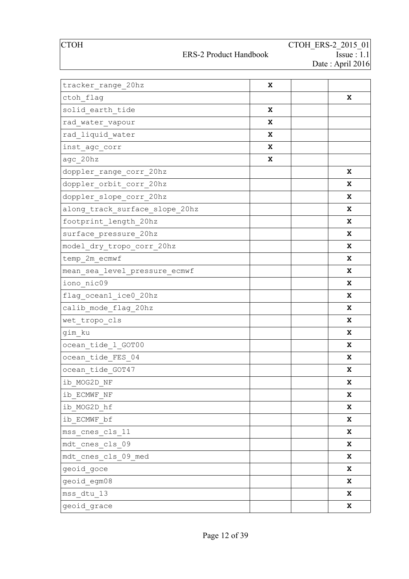### ERS-2 Product Handbook

| tracker range 20hz             | X |   |
|--------------------------------|---|---|
| ctoh flag                      |   | X |
| solid earth tide               | X |   |
| rad water vapour               | X |   |
| rad liquid water               | X |   |
| inst_agc_corr                  | X |   |
| agc 20hz                       | X |   |
| doppler_range_corr_20hz        |   | X |
| doppler_orbit_corr_20hz        |   | X |
| doppler_slope_corr_20hz        |   | X |
| along_track_surface_slope_20hz |   | X |
| footprint_length_20hz          |   | X |
| surface pressure 20hz          |   | X |
| model dry tropo corr 20hz      |   | X |
| temp 2m ecmwf                  |   | X |
| mean sea level pressure ecmwf  |   | X |
| iono nic09                     |   | X |
| flag_ocean1_ice0_20hz          |   | X |
| calib mode flag 20hz           |   | X |
| wet_tropo_cls                  |   | X |
| gim ku                         |   | X |
| ocean_tide_1_GOT00             |   | X |
| ocean_tide_FES_04              |   | X |
| ocean tide GOT47               |   | x |
| $\verb ib_MOG2D_NF $           |   | X |
| ib ECMWF NF                    |   | X |
| ib MOG2D hf                    |   | X |
| ib ECMWF bf                    |   | X |
| mss cnes cls 11                |   | X |
| mdt cnes cls 09                |   | X |
| mdt cnes cls 09 med            |   | X |
| geoid goce                     |   | X |
| geoid egm08                    |   | X |
| mss dtu 13                     |   | X |
| geoid grace                    |   | X |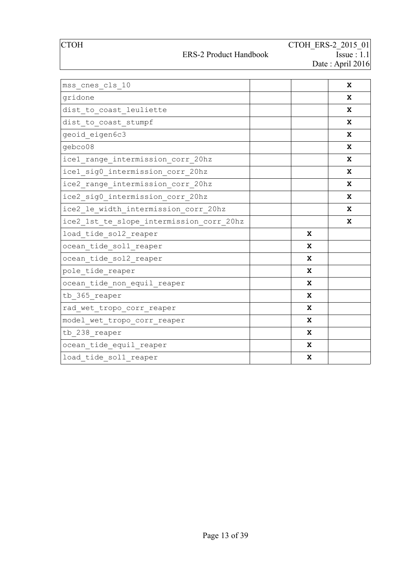### ERS-2 Product Handbook

| mss cnes cls 10                          | $\mathbf{x}$ |
|------------------------------------------|--------------|
| gridone                                  | X            |
| dist to coast leuliette                  | x            |
| dist to coast stumpf                     | X            |
| geoid eigen6c3                           | X            |
| qebco08                                  | X            |
| icel range intermission corr 20hz        | X            |
| icel sig0 intermission corr 20hz         | X            |
| ice2 range intermission corr 20hz        | X            |
| ice2 sig0 intermission corr 20hz         | X            |
| ice2 le width intermission corr 20hz     | X            |
| ice2 1st te slope intermission corr 20hz | x            |
| load tide sol2 reaper                    | $\mathbf x$  |
| ocean tide soll reaper                   | $\mathbf x$  |
| ocean tide sol2 reaper                   | $\mathbf{x}$ |
| pole tide reaper                         | X            |
| ocean tide non equil reaper              | $\mathbf x$  |
| tb 365 reaper                            | $\mathbf x$  |
| rad wet tropo corr reaper                | $\mathbf{x}$ |
| model wet tropo corr reaper              | X            |
| tb 238 reaper                            | $\mathbf{x}$ |
| ocean tide equil reaper                  | $\mathbf x$  |
| load tide soll reaper                    | $\mathbf x$  |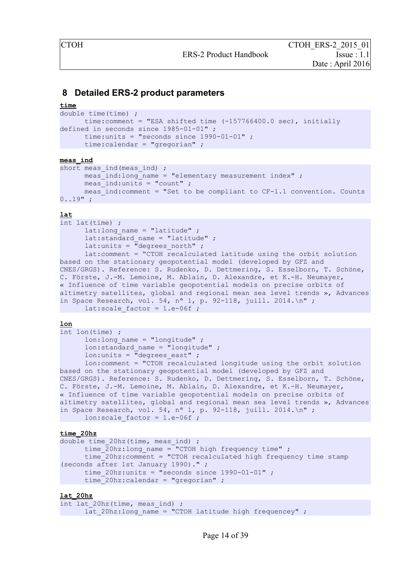#### <span id="page-14-0"></span> **8 Detailed ERS-2 product parameters**

#### **time**

```
double time(time) ; 
     time:comment = "ESA shifted time (-157766400.0 sec), initially 
defined in seconds since 1985-01-01" ; 
      time: units = "seconds since 1990-01-01";
      time:calendar = "gregorian" ;
```
#### **meas\_ind**

```
short meas ind(meas ind) ;
     meas ind:long name = "elementary measurement index" ;
     meas ind:units = "count" ;
     meas ind: comment = "Set to be compliant to CF-1.1 convention. Counts
0.19" ;
```
#### **lat**

```
int lat(time) ; 
      lat:long name = "latitude" ;
      lat: standard name = "latitude" ;
      lat:units = \overline{\text{''}}degrees north" ;
      lat:comment = "CTOH" recalculated latitude using the orbit solutionbased on the stationary geopotential model (developed by GFZ and 
CNES/GRGS). Reference: S. Rudenko, D. Dettmering, S. Esselborn, T. Schöne, 
C. Förste, J.-M. Lemoine, M. Ablain, D. Alexandre, et K.-H. Neumayer, 
« Influence of time variable geopotential models on precise orbits of 
altimetry satellites, global and regional mean sea level trends », Advances
in Space Research, vol. 54, nº 1, p. 92-118, juill. 2014.\ln";
      lat: scale factor = 1.e-06f ;
```
#### **lon**

```
int lon(time) ; 
      lon: long name = "longitude" ;
      lon: standard name = "longitude" ;
      lon: units = \overline{\text{''}}degrees east" ;
      lon:comment = "CTOH recalculated longitude using the orbit solution 
based on the stationary geopotential model (developed by GFZ and 
CNES/GRGS). Reference: S. Rudenko, D. Dettmering, S. Esselborn, T. Schöne, 
C. Förste, J.-M. Lemoine, M. Ablain, D. Alexandre, et K.-H. Neumayer, 
« Influence of time variable geopotential models on precise orbits of 
altimetry satellites, global and regional mean sea level trends », Advances
in Space Research, vol. 54, nº 1, p. 92-118, juill. 2014.\n \begin{bmatrix}\n n' \\
 n''\n \end{bmatrix}lon: scale factor = 1.e-06f ;
```
#### **time\_20hz**

```
double time 20hz (time, meas ind) ;
      time 20hz:longname = "CTOH high frequency time" ;
      time_20hz:comment = "CTOH recalculated high frequency time stamp 
(seconds after 1st January 1990)." ; 
      time 20hz:units = "seconds since 1990-01-01" ;
      time 20hz:calendar = "gregorian" ;
```
#### **lat\_20hz**

```
int lat 20hz(time, meas ind) ;
     lat 20hz:long name = "CTOH latitude high frequencey" ;
```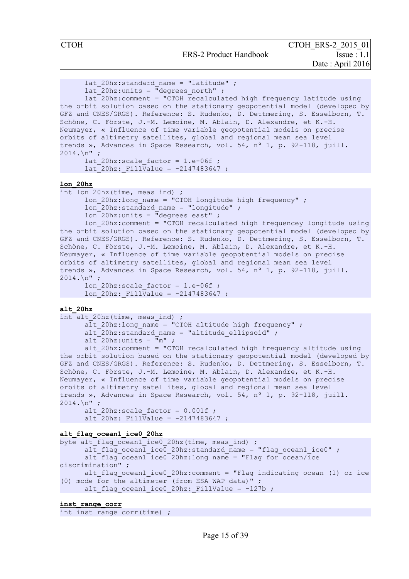```
lat 20hz: standard name = "latitude" ;
      lat 20hz:units = "degrees north" ;
      lat 20\text{hz:} comment = "CTOH recalculated high frequency latitude using
the orbit solution based on the stationary geopotential model (developed by
GFZ and CNES/GRGS). Reference: S. Rudenko, D. Dettmering, S. Esselborn, T. 
Schöne, C. Förste, J.-M. Lemoine, M. Ablain, D. Alexandre, et K.-H. 
Neumayer, « Influence of time variable geopotential models on precise 
orbits of altimetry satellites, global and regional mean sea level 
trends », Advances in Space Research, vol. 54, nº 1, p. 92-118, juill.
2014.\n\sqrt{n} ;
      lat 20hz: scale factor = 1.e-06f ;
      lat 20hz: FillValue = -2147483647 ;
lon_20hz
int lon 20hz(time, meas ind) ;
      lon 20hz:long name = "CTOH longitude high frequency" ;
      \overline{1}on<sup>-</sup>20hz:standard name = "longitude" ;
      \overline{\ }lon<sup>-</sup>20hz:units = "degrees east" ;
      \overline{20}hz:comment = "CTOH recalculated high frequencey longitude using
the orbit solution based on the stationary geopotential model (developed by
GFZ and CNES/GRGS). Reference: S. Rudenko, D. Dettmering, S. Esselborn, T. 
Schöne, C. Förste, J.-M. Lemoine, M. Ablain, D. Alexandre, et K.-H. 
Neumayer, « Influence of time variable geopotential models on precise 
orbits of altimetry satellites, global and regional mean sea level 
trends », Advances in Space Research, vol. 54, nº 1, p. 92-118, juill.
2014.\n\sqrt{n} ;
```

```
lon 20hz: scale factor = 1.e-06f ;
lon 20hz: FillValue = -2147483647 ;
```
**alt\_20hz**

```
int alt 20hz(time, meas ind) ;
      alt 20hz:long name = "CTOH altitude high frequency" ;
      alt 20hz:standard name = "altitude ellipsoid" ;
      alt 20hz:units = \frac{1}{m}m";
```
alt  $20$ hz:comment = "CTOH recalculated high frequency altitude using the orbit solution based on the stationary geopotential model (developed by GFZ and CNES/GRGS). Reference: S. Rudenko, D. Dettmering, S. Esselborn, T. Schöne, C. Förste, J.-M. Lemoine, M. Ablain, D. Alexandre, et K.-H. Neumayer, « Influence of time variable geopotential models on precise orbits of altimetry satellites, global and regional mean sea level trends », Advances in Space Research, vol. 54, nº 1, p. 92-118, juill.  $2014.$ \n" ;

alt 20hz: scale factor =  $0.001f$  ; alt 20hz: FillValue =  $-2147483647$  ;

#### **alt\_flag\_ocean1\_ice0\_20hz**

```
byte alt flag ocean1 ice0 20hz (time, meas ind) ;
      alt flag_ocean1_ice0_20hz:standard_name = "flag_ocean1_ice0" ;
      alt flag_ocean1_ice0_20hz:long_name = "Flag for ocean/ice
discrimination" ; 
      alt flag ocean1 ice0 20hz:comment = "Flag indicating ocean (1) or ice
(0) mode for the altimeter (from ESA WAP data)" ; 
      alt flag ocean1 ice0 20hz: FillValue = -127b ;
```
**inst\_range\_corr**

int inst range corr(time) ;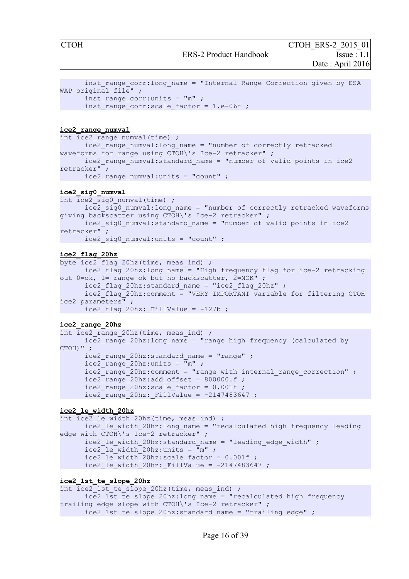```
inst range corr: long name = "Internal Range Correction given by ESA
WAP original file" ;
      inst range corr:units = "m" ;
      inst range corr:scale factor = 1.e-06f ;
```
#### **ice2\_range\_numval**

```
int ice2_range_numval(time) ; 
      ice2 range numval:long name = "number of correctly retracked
waveforms for range using CTOH\'s Ice-2 retracker" ;
     ice2 range numval: standard name = "number of valid points in ice2
retracker" ; 
     ice2 range numval:units = "count" ;
```
#### **ice2\_sig0\_numval**

```
int ice2 sig0 numval(time) ;
      \overline{ice2} sig0 numval:long name = "number of correctly retracked waveforms
giving backscatter using CTOH\'s Ice-2 retracker" ;
      ice2_sig0_numval:standard_name = "number of valid points in ice2 
retracker" ; 
      \text{ice2 sig0 numval:units} = \text{"count" } ;
```
#### **ice2\_flag\_20hz**

byte ice2 flag 20hz(time, meas ind) ; ice2 flag 20hz:long name = "High frequency flag for ice-2 retracking out  $0 = \circ k$ ,  $1 = \text{range} \circ k$  but no backscatter,  $2 = \text{NOK}$ " ice2 flag 20hz:standard name = "ice2 flag 20hz" ;  $ice2$  flag<sup>-20hz:comment = "VERY IMPORTANT variable for filtering CTOH</sup> ice2 parameters" ; ice2 flag 20hz: FillValue =  $-127b$  ;

#### **ice2\_range\_20hz**

```
int ice2_range 20hz(time, meas ind) ;
     ice2_range_20hz:long_name = "range high frequency (calculated by 
CTOH) ";
     ice2 range 20hz: standard name = "range" ;
      ice2_range_20hz:units = \overline{m}" ;
      ice2 range 20hz: comment = "range with internal range correction" ;
      \text{ice2} range 20hz: add offset = 800000.f ;
      ice2 range 20hz: scale factor = 0.001f ;
      ice2 range 20hz: FillValue = -2147483647 ;
```
#### **ice2\_le\_width\_20hz**

```
int ice2 le width 20hz(time, meas ind) ;
      ice2_le_width_20hz:long_name = "recalculated high frequency leading 
edge with \overline{CTOH}\'s Ice-2 retracker";
      ice2 le width 20hz:standard name = "leading edge width" ;
      ice2 le width 20hz:units = \overline{m}" ;
      ice2<sup>-</sup>le_width_20hz:scale_factor = 0.001f ;
      ice2<sup>-</sup>le<sup>width-20hz: FillValue = -2147483647 ;</sup>
```
#### **ice2\_1st\_te\_slope\_20hz**

```
int \overline{ice2} 1st te slope 20hz(time, meas ind) ;
      ice2_1st_te_slope_20hz:long_name = "recalculated high frequency 
trailing edge slope with CTOH\'s Ice-2 retracker" ; 
      ice2 1st te slope 20hz: standard name = "trailing edge" ;
```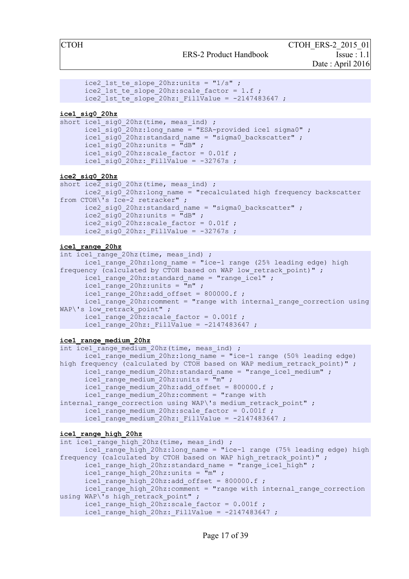```
ice2 1st te slope 20hz:units = "1/s" ;
ice2 1st te slope 20hz: scale factor = 1.f ;
ice2<sup>1st</sup> te slope<sup>20hz:</sup> FillValue = -2147483647 ;
```
#### **ice1\_sig0\_20hz**

```
short icel sig0 20hz(time, meas ind) ;
       \text{ice1} sig0 20hz:long name = "ESA-provided ice1 sigma0" ;
       \text{ice1} sig0<sup>-20hz:standard name = "sigma0 backscatter" ;</sup>
       \text{ice1} sig0 20hz: units = \text{H}dB" ;
       ice1\overline{\phantom{a}}sig0\overline{\phantom{a}}20hz:scale factor = 0.01f ;
       ice1_sig0_20hz: FillValue = -32767s ;
```
#### **ice2\_sig0\_20hz**

```
short ice2 sig0 20hz(time, meas_ind) ;
        \text{ice2} sig0<sup>-20hz:long name = "recalculated high frequency backscatter</sup>
from CTOH\'s Ice-2 retracker" ; 
        ice2 sig0 20hz:standard name = "sigma0 backscatter" ;
        \sec^2 \frac{1}{\sec^2 \theta} 20hz: units = \frac{\pi}{\cosh \theta};
        \sec^2 \left( \frac{\pi}{20} \right) = 20hz: scale factor = 0.01f ;
        \bar{c} = 2\bar{c}sig0 20hz: FillValue = -32767s ;
```
#### **ice1\_range\_20hz**

```
int ice1 range 20hz(time, meas ind) ;
      ice1 range 20hz:long name = "ice-1 range (25% leading edge) high
frequency (calculated by CTOH based on WAP low retrack point)" ;
     ice1 range 20hz: standard name = "range ice1" ;
      ice1 range 20hz:units = "m" ;
     ice1 range 20hz:add offset = 800000.f;
     ice1_range_20hz:comment = "range with internal_range_correction using
WAP\'s low retrack point" ;
     ice1 range 20hz:scale~factor = 0.001f ;
     ice1_range_20hz: FillValue = -2147483647 ;
```
#### **ice1\_range\_medium\_20hz**

```
int ice1 range medium 20hz(time, meas ind) ;
      ice1 range medium 20hz:long name = "ice-1 range (50% leading edge)
high frequency (calculated by CTOH based on WAP medium retrack point)" ;
      ice1 range medium 20hz: standard name = "range ice1 medium" ;
      \bar{r}ice1\bar{r}range\bar{m}medium\bar{r}20hz:units = \bar{r}m" ;
      \text{ice1} range medium 20hz: add offset = 800000.f ;
      \bar{1} range medium \bar{2}0hz: comment = "range with
internal range correction using WAP\'s medium retrack point" ;
      ice1 range medium 20hz: scale factor = 0.001f ;
      ice1 range medium 20hz: FillValue = -2147483647 ;
```
#### **ice1\_range\_high\_20hz**

```
int ice1 range high 20hz(time, meas ind) ;
      ice1 range high 20hz:long name = "ice-1 range (75% leading edge) high
frequency (calculated by CTOH based on WAP high retrack point)" ;
      ice1 range high 20hz: standard name = "range ice1 high" ;
      ice1\overline{\text{range}} high 20hz:units = \overline{\text{m}}" ;
      ice1 range high 20hz:add offset = 800000.f;
      \text{ice1} range high 20hz: comment = "range with internal range correction
using WAP\\overline{\phantom{a}}'s high retrack point" ;
      ice1_range_high_20hz:scale factor = 0.001f ;
      ice1 range high 20hz: FillValue = -2147483647;
```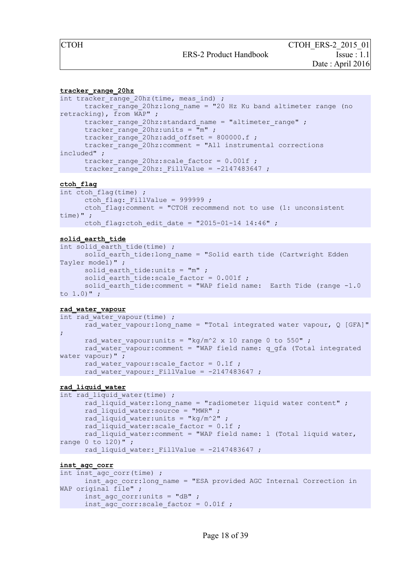#### **tracker\_range\_20hz**

```
int tracker range 20hz (time, meas ind) ;
      tracker range 20hz:long name = "20 Hz Ku band altimeter range (no
retracking), from WAP" ; 
      tracker range 20hz: standard name = "altimeter range" ;
      \text{trace} range 20hz: units = "m" ;
      tracker range 20hz: add offset = 800000.f;
      tracker_range_20hz:comment = "All instrumental corrections 
included" ; 
      tracker range 20hz: scale factor = 0.001f ;
      tracker_range_20hz: FillValue = -2147483647;
```
#### **ctoh\_flag**

```
int ctoh flag(time) ;
      ctoh flag: FillValue = 999999 ;
      ctoh_flag:comment = "CTOH recommend not to use (1: unconsistent 
time)" ; 
     ctoh flag:ctoh edit date = "2015-01-14 14:46" ;
```
#### **solid\_earth\_tide**

```
int solid earth tide(time) ;
      solid earth tide: long name = "Solid earth tide (Cartwright Edden
Tayler model)" ; 
      solid earth tide:units = "m" ;
      solid earth tide: scale factor = 0.001f ;
      solid earth tide: comment = "WAP field name: Earth Tide (range -1.0to 1.0)" ;
```
#### **rad\_water\_vapour**

```
int rad water vapour(time) ;
     rad water vapour: long name = "Total integrated water vapour, Q [GFA]"
; 
      rad water vapour: units = "kg/m^2 x 10 range 0 to 550" ;
     rad water vapour: comment = "WAP field name: q gfa (Total integrated
water vapour)" ;
     rad_water_vapour:scale_factor = 0.1f ; 
      rad_water_vapour: FillValue = -2147483647;
```
#### **rad\_liquid\_water**

```
int rad liquid water(time) ;
      rad liquid water:long name = "radiometer liquid water content" ;
      rad liquid water: source = "MWR" ;
      rad_liquid_water:units = "kg/m^2" ;
      rad liquid water: scale factor = 0.1f ;
      rad liquid water: comment = "WAP field name: l (Total liquid water,
range 0 \text{ to } 120)";
      rad liquid water: FillValue = -2147483647 ;
```
#### **inst\_agc\_corr**

```
int inst agc corr(time) ;
     inst_agc_corr:long_name = "ESA provided AGC Internal Correction in 
WAP original file" ;
     inst agc corr:units = "dB" ;
      inst agc corr: scale factor = 0.01f ;
```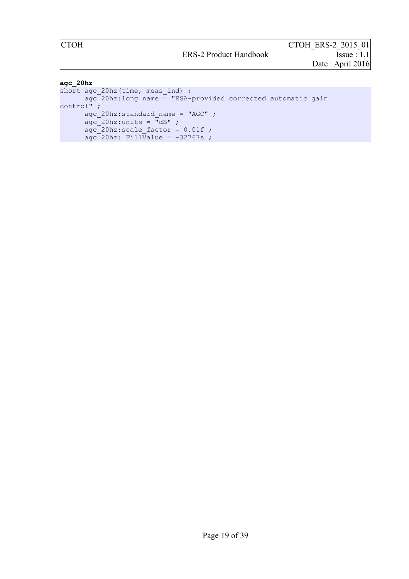#### **agc\_20hz**

```
short agc_20hz(time, meas_ind) ; 
      agc_20hz:long_name = TESA-provided corrected automated)control" ; 
      agc 20hz:standard name = "AGC" ;
      \overline{a}gc 20hz:units = \overline{u}dB" ;
      \texttt{age\_20hz:scale\_factor} = 0.01f;
      \texttt{age\_20hz:\_FillValue} = -32767s ;
```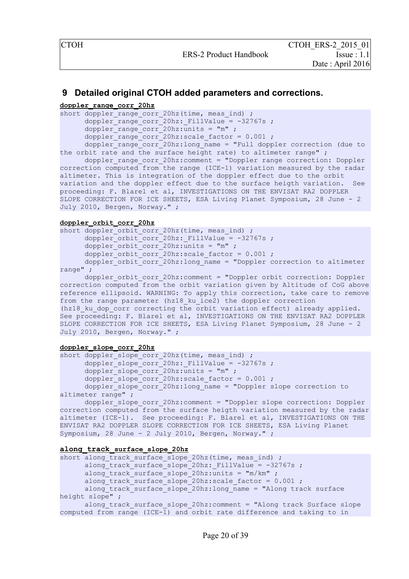#### <span id="page-20-0"></span> **9 Detailed original CTOH added parameters and corrections.**

#### **doppler\_range\_corr\_20hz**

```
short doppler range corr 20hz (time, meas ind) ;
      doppler range corr 20hz: FillValue = -32767s ;
      doppler range corr 20hz:units = "m" ;
      doppler range corr 20hz: scale factor = 0.001;
      doppler range corr_20hz:long_ name = "Full doppler correction (due to
```
the orbit rate and the surface height rate) to altimeter range" ;

doppler range corr 20hz: comment = "Doppler range correction: Doppler correction computed from the range (ICE-1) variation measured by the radar altimeter. This is integration of the doppler effect due to the orbit variation and the doppler effect due to the surface heigth variation. See proceeding: F. Blarel et al, INVESTIGATIONS ON THE ENVISAT RA2 DOPPLER SLOPE CORRECTION FOR ICE SHEETS, ESA Living Planet Symposium, 28 June - 2 July 2010, Bergen, Norway." ;

#### **doppler\_orbit\_corr\_20hz**

```
short doppler orbit corr 20hz (time, meas ind) ;
     doppler_orbit_corr_20hz: FillValue = -32767s;
     doppler orbit corr 20hz: units = "m" ;
     doppler_orbit_corr_20hz:scale_factor = 0.001;
     doppler_orbit_corr_20hz:long_name = "Doppler correction to altimeter
```
range" ;

doppler\_orbit\_corr\_20hz:comment = "Doppler orbit correction: Doppler correction computed from the orbit variation given by Altitude of CoG above reference ellipsoid. WARNING: To apply this correction, take care to remove from the range parameter (hz18\_ku\_ice2) the doppler correction (hz18 ku dop corr correcting the orbit variation effect) already applied. See proceeding: F. Blarel et al, INVESTIGATIONS ON THE ENVISAT RA2 DOPPLER SLOPE CORRECTION FOR ICE SHEETS, ESA Living Planet Symposium, 28 June - 2 July 2010, Bergen, Norway." ;

#### **doppler\_slope\_corr\_20hz**

```
short doppler_slope_corr_20hz(time, meas_ind) ; 
      doppler_slope_corr_20hz:_FillValue = -32767s ; 
      doppler slope corr 20hz: units = "m" ;
      doppler_slope_corr_20hz:scale_factor = 0.001 ; 
      doppler_slope_corr_20hz:long_name = "Doppler_slope_correction_to
altimeter range" ;
```
doppler slope corr 20hz: comment = "Doppler slope correction: Doppler correction computed from the surface heigth variation measured by the radar altimeter (ICE-1). See proceeding: F. Blarel et al, INVESTIGATIONS ON THE ENVISAT RA2 DOPPLER SLOPE CORRECTION FOR ICE SHEETS, ESA Living Planet Symposium, 28 June - 2 July 2010, Bergen, Norway." ;

#### **along\_track\_surface\_slope\_20hz**

```
short along track surface slope 20hz(time, meas ind) ;
     along track surface slope 20hz: FillValue = -32767s ;
     along track surface slope 20hz:units = "m/km" ;
     along track surface slope 20hz: scale factor = 0.001 ;
     along_track_surface_slope_20hz:long_name = "Along track surface
height slope" ;
     along track surface slope 20hz:comment = "Along track Surface slopecomputed from range (ICE-1) and orbit rate difference and taking to in
```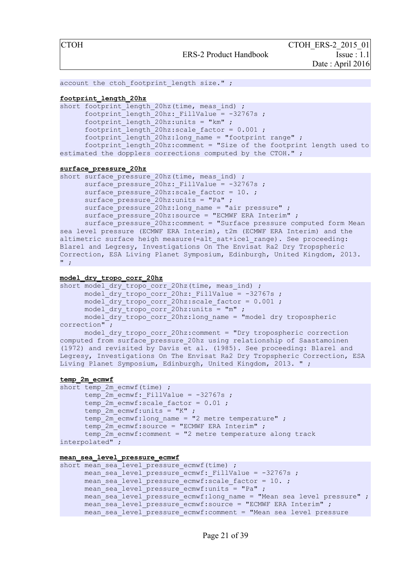```
account the ctoh footprint length size." ;
```
#### **footprint\_length\_20hz**

short footprint length 20hz (time, meas ind) ; footprint length 20hz: FillValue =  $-32767s$  ; footprint length  $20hz:units = "km"$  ; footprint length  $20hz:scale~factor = 0.001$  ;  $footprint_length_20hz:long_name = "footprint range"$  ;  $f$ ootprint length  $20$ hz:comment = "Size of the footprint length used to estimated the dopplers corrections computed by the CTOH." ;

#### **surface\_pressure\_20hz**

```
short surface pressure 20hz(time, meas ind) ;
      surface_pressure_20hz: FillValue = -32767s ;
      surface pressure 20hz: scale factor = 10. ;
      surface pressure 20hz:units = "Pa" ;
      surface pressure 20hz:long name = "air pressure" ;
      surface pressure 20hz: source = "ECMWF ERA Interim" ;
      \frac{-1}{20} surface pressure 20hz:comment = "Surface pressure computed form Mean
sea level pressure (ECMWF ERA Interim), t2m (ECMWF ERA Interim) and the 
altimetric surface heigh measure(=alt sat+ice1 range). See proceeding:
Blarel and Legresy, Investigations On The Envisat Ra2 Dry Tropspheric 
Correction, ESA Living Planet Symposium, Edinburgh, United Kingdom, 2013. 
" ;
```
#### **model\_dry\_tropo\_corr\_20hz**

short model dry tropo corr 20hz(time, meas ind) ;  $model_{\text{cty}\_\text{tropo}\_\text{corr}\_20\text{hz:}\_\text{FillValue}} = -32767s$  ; model\_dry\_tropo\_corr\_20hz:scale\_factor = 0.001 ; model\_dry\_tropo\_corr\_20hz:units = "m" ; model dry tropo corr 20hz:long name = "model dry tropospheric correction" ; model dry tropo corr 20hz: comment = "Dry tropospheric correction computed from surface\_pressure\_20hz using relationship of Saastamoinen (1972) and revisited by Davis et al. (1985). See proceeding: Blarel and Legresy, Investigations On The Envisat Ra2 Dry Tropspheric Correction, ESA

```
temp_2m_ecmwf
```

```
short temp 2m ecmwf(time) ;
     temp 2m ecmwf: FillValue = -32767s ;
      temp<sup>2m</sup> ecmwf:scale factor = 0.01 ;
      temp 2m ecmwf:units = "K" ;
      temp 2m ecmwf:long name = "2 metre temperature" ;
      temp 2m ecmwf: source = "ECMWF ERA Interim" ;
      temp_2m_ecmwf:comment = "2 metre temperature along track 
interpolated" ;
```
Living Planet Symposium, Edinburgh, United Kingdom, 2013. " ;

#### **mean\_sea\_level\_pressure\_ecmwf**

```
short mean sea level pressure ecmwf(time) ;
     mean sea level pressure ecmwf: FillValue = -32767s ;
     mean sea level pressure ecmwf: scale factor = 10.;
     mean sea<sup>level</sup> pressure ecmwf:units = "Pa" ;
     mean_sea_level_pressure_ecmwf:long name = "Mean sea level pressure" ;
     mean_sea_level_pressure_ecmwf:source = "ECMWF ERA Interim" ;
     mean sea level pressure ecmwf: comment = "Mean sea level pressure
```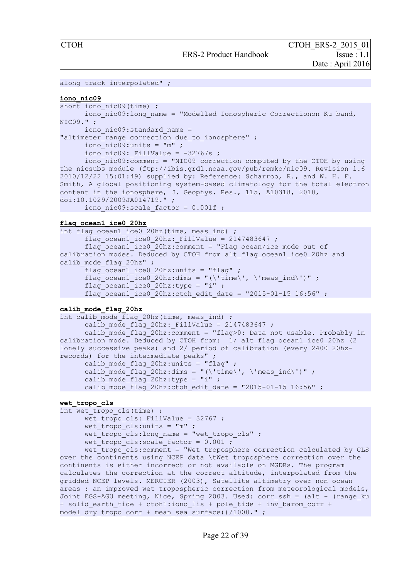```
along track interpolated" ;
```
#### **iono\_nic09**

```
short iono nic09(time) ;
      iono<sup>nic09</sup>: long name = "Modelled Ionospheric Correctionon Ku band,
NIC09." ; 
      iono nic09:standard name =
"altimeter range correction due to ionosphere" ;
      iono<sup>nic09:units = "m"</sup>;
      iono nic09: FillValue = -32767s ;
      \overline{\text{ion}} nic09:\overline{\text{comment}} = "NIC09 correction computed by the CTOH by using
the nicsubs module (ftp://ibis.grdl.noaa.gov/pub/remko/nic09. Revision 1.6 
2010/12/22 15:01:49) supplied by: Reference: Scharroo, R., and W. H. F. 
Smith, A global positioning system-based climatology for the total electron
content in the ionosphere, J. Geophys. Res., 115, A10318, 2010, 
doi:10.1029/2009JA014719." ; 
      iono nic09: scale factor = 0.001f ;
```
#### **flag\_ocean1\_ice0\_20hz**

int flag ocean1 ice0 20hz(time, meas ind) ; flag ocean1 ice0 20hz: FillValue = 2147483647 ; flag\_ocean1\_ice0\_20hz:comment = "Flag ocean/ice mode out of calibration modes. Deduced by CTOH from alt\_flag\_ocean1\_ice0\_20hz and calib mode flag 20hz" ; flag\_ocean1\_ice0\_20hz:units = "flag" ; flag\_ocean1\_ice0\_20hz:dims = "(\'time\', \'meas\_ind\')" ; flag\_ocean1\_ice0\_20hz:type = "i" ; flag ocean1 ice0 20hz:ctoh edit date = "2015-01-15 16:56" ;

#### **calib\_mode\_flag\_20hz**

```
int calib mode flag 20hz(time, meas ind) ;
      calib mode flag 20hz: FillValue = 2147483647 ;
      calib_mode_flag_20hz:\overline{c}omment = "flag>0: Data not usable. Probably in
calibration mode. Deduced by CTOH from: 1/ alt_flag_ocean1_ice0_20hz (2 
lonely successive peaks) and 2/ period of calibration (every 2400 20hz-
records) for the intermediate peaks" ; 
      calib_mode_flag_20hz:units = "flag" ; 
      calib_mode_flag_20hz:dims = "(\'time\', \'meas_ind\')" ;
      calib_mode_flag_20hz:type = "i" ;
      calib_mode_flag_20hz:ctoh_edit_date = "2015-01-15 16:56" ;
```
#### **wet\_tropo\_cls**

```
int wet tropo cls(time) ;
      wet tropo cls: FillValue = 32767 ;
      wet tropo cls: units = "m" ;
      wet tropo<sup>_</sup>cls:long_name = "wet tropo_cls" ;
      wet tropo<sup>c</sup>ls:scale factor = 0.001;
```
wet tropo cls: comment = "Wet troposphere correction calculated by CLS over the continents using NCEP data \tWet troposphere correction over the continents is either incorrect or not available on MGDRs. The program calculates the correction at the correct altitude, interpolated from the gridded NCEP levels. MERCIER (2003), Satellite altimetry over non ocean areas : an improved wet tropospheric correction from meteorological models, Joint EGS-AGU meeting, Nice, Spring 2003. Used: corr\_ssh = (alt - (range\_ku + solid earth tide + ctoh1:iono lis + pole tide + inv barom corr + model dry tropo corr + mean sea surface))/1000." ;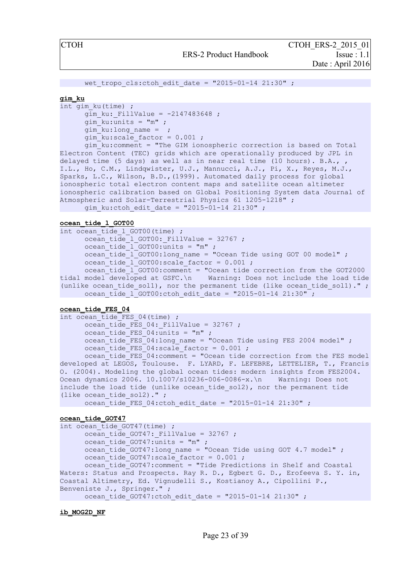```
wet tropo cls:ctoh edit date = "2015-01-14 21:30" ;
```
#### **gim\_ku**

```
int gim_ku(time) ; 
      gim ku: FillValue = -2147483648 ;
      qim ku:units = "m" ;
      gim_ku:long_name = ; 
      gim ku:scale factor = 0.001;
```
gim\_ku:comment = "The GIM ionospheric correction is based on Total Electron Content (TEC) grids which are operationally produced by JPL in delayed time (5 days) as well as in near real time (10 hours). B.A.,, I.L., Ho, C.M., Lindqwister, U.J., Mannucci, A.J., Pi, X., Reyes, M.J., Sparks, L.C., Wilson, B.D.,(1999). Automated daily process for global ionospheric total electron content maps and satellite ocean altimeter ionospheric calibration based on Global Positioning System data Journal of Atmospheric and Solar-Terrestrial Physics 61 1205-1218" ; gim ku:ctoh edit date = "2015-01-14 21:30" ;

#### **ocean\_tide\_l\_GOT00**

```
int ocean tide 1 GOT00(time) ;
      ocean_tide<sup>1</sup> GOT00: FillValue = 32767 ;
      ocean_tide_l_GOT00:units = "m" ; 
      ocean_tide_l_GOT00:long_name = "Ocean Tide using GOT 00 model" ; 
      ocean_tide_l_GOT00:scale_factor = 0.001 ; 
      ocean_tide_l_GOT00:comment = "Ocean tide correction from the GOT2000 
tidal model developed at GSFC.\n Warning: Does not include the load tide
(unlike ocean_tide_sol1), nor the permanent tide (like ocean tide sol1)." ;
      ocean tide 1 GOT00:ctoh edit date = "2015-01-14 21:30" ;
```
#### **ocean\_tide\_FES\_04**

```
int ocean tide FES 04(time) ;
     ocean tide FES 04: FillValue = 32767 ;
     ocean\_tide\_FES_04:units = "m" ;ocean tide FES 04:long name = "Ocean Tide using FES 2004 model" ;
     ocean tide FES 04:scale factor = 0.001 ;
     ocean tide FES 04: comment = "Ocean tide correction from the FES model
developed at LEGOS, Toulouse. F. LYARD, F. LEFEBRE, LETTELIER, T., Francis
O. (2004). Modeling the global ocean tides: modern insights from FES2004. 
Ocean dynamics 2006. 10.1007/s10236-006-0086-x.\n Warning: Does not 
include the load tide (unlike ocean tide sol2), nor the permanent tide
(like ocean_tide_sol2)." ; 
     ocean_tide_FES_04:ctoh_edit_date = "2015-01-14 21:30" ;
```

```
ocean_tide_GOT47
```

```
int ocean tide GOT47(time) ;
     ocean tide GOT47: FillValue = 32767 ;
     ocean tide GOT47:units = "m" ;
     ocean tide GOT47:long name = "Ocean Tide using GOT 4.7 model" ;
     ocean tide GOT47: scale factor = 0.001;
     ocean tide GOT47:comment = "Tide Predictions in Shelf and Coastal
Waters: Status and Prospects. Ray R. D., Egbert G. D., Erofeeva S. Y. in, 
Coastal Altimetry, Ed. Vignudelli S., Kostianoy A., Cipollini P., 
Benveniste J., Springer." ; 
      ocean tide GOT47:ctoh edit date = "2015-01-14 21:30" ;
```
**ib\_MOG2D\_NF**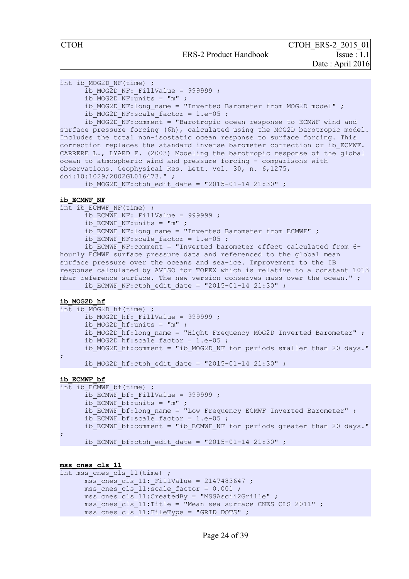```
int ib MOG2D NF(time) ;
```

```
ib MOG2D NF: FillValue = 999999 ;
```

```
ib MOG2D NF:units = "m" ;
```

```
ib_MOG2D_NF:long_name = "Inverted Barometer from MOG2D_model" ;
```

```
ib_MOG2D_NF:scale_factor = 1.e-05 ;
```
 $i_{\text{D}}$ MOG2D<sup>-</sup>NF:comment = "Barotropic ocean response to ECMWF wind and surface pressure forcing (6h), calculated using the MOG2D barotropic model. Includes the total non-isostatic ocean response to surface forcing. This correction replaces the standard inverse barometer correction or ib\_ECMWF. CARRERE L., LYARD F. (2003) Modeling the barotropic response of the global ocean to atmospheric wind and pressure forcing - comparisons with observations. Geophysical Res. Lett. vol. 30, n. 6,1275, doi:10:1029/2002GL016473." ;

ib MOG2D NF:ctoh edit date = "2015-01-14 21:30" ;

#### **ib\_ECMWF\_NF**

int ib ECMWF NF(time) ;  $\overline{1}$ b ECMWF NF: FillValue = 999999 ;  $\overline{ib}$  ECMWF NF: units = "m" ;  $\overline{16}$  ECMWF<sup>-</sup>NF:long name = "Inverted Barometer from ECMWF" ;  $\overline{\text{h}}$  ECMWF<sup>-</sup>NF:scale factor = 1.e-05 ; ib ECMWF\_NF:comment = "Inverted barometer effect calculated from 6hourly ECMWF surface pressure data and referenced to the global mean surface pressure over the oceans and sea-ice. Improvement to the IB response calculated by AVISO for TOPEX which is relative to a constant 1013 mbar reference surface. The new version conserves mass over the ocean." ; ib ECMWF NF:ctoh edit date = "2015-01-14 21:30" ;

#### **ib\_MOG2D\_hf**

```
int ib MOG2D hf(time) ;
      ib MOG2D hf: FillValue = 999999 ;
      ib MOG2D hf: units = "m" ;
      ib_MOG2D_hf:long_name = "Hight Frequency MOG2D Inverted Barometer" ;
      ib_MOG2D_hf:scale_factor = 1.e-05 ;
      ib_MOG2D_hf:comment = "ib_MOG2D_NF for periods smaller than 20 days."
; 
      ib_MOG2D_hf:ctoh_edit_date = "2015-01-14 21:30" ;
```
#### **ib\_ECMWF\_bf**

```
int ib ECMWF bf(time) ;
      \overline{1}b ECMWF bf: FillValue = 999999 ;
      ib ECMWF bf:units = "m" ;
      ib ECMWF bf:long name = "Low Frequency ECMWF Inverted Barometer" ;
      ib ECMWF bf:scale factor = 1.e-05 ;
      ib ECMWF bf: comment = "ib_ECMWF_NF for periods greater than 20 days."
; 
      ib ECMWF bf:ctoh edit date = "2015-01-14 21:30" ;
```
#### **mss\_cnes\_cls\_11**

```
int mss cnes cls 11(time) ;
        mss cnes cls 11: FillValue = 2147483647 ;
        mss cnes cls 11:scale factor = 0.001 ;
        \overline{\text{rms}} cnes cls 11:\text{CreatedBy} = "MSSAscii2Grille" ;
        \overline{\phantom{a}} mss<sup>\overline{\phantom{a}}</sup>cnes\overline{\phantom{a}}cls\overline{\phantom{a}}11:Title = "Mean sea surface CNES CLS 2011" ;
        \overline{\text{mss}} cnes cls 11:FileType = "GRID DOTS" ;
```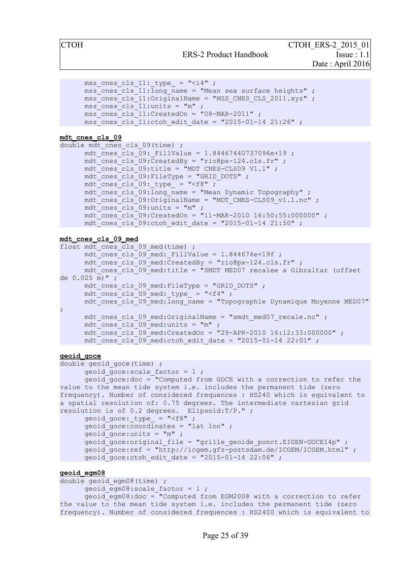ERS-2 Product Handbook Issue : 1.1

CTOH ERS-2 2015 01 Date : April 2016

```
mss cnes cls 11: type = "\langle i4" ;
mss cnes cls 11:long name = "Mean sea surface heights" ;
\overline{\text{mss}} cnes cls 11:OriginalName = "MSS CNES CLS 2011.xyz" ;
mss cnes cls 11:units = "m" ;
\overline{\text{mss}} cnes cls 11:\text{CreatedOn} = "08-MAR-2011" ;
\overline{\text{ms}} cnes cls 11:ctoh edit date = "2015-01-14 21:26" ;
```
**mdt\_cnes\_cls\_09**

```
double mdt cnes cls 09(time) ;
      mdt cnes cls 09: FillValue = 1.84467440737096e+19 ;
      mdt cnes cls<sup>-09:</sup>CreatedBy = "rio@px-124.cls.fr" ;
      mdt cnes cls 09:title = "MDT CNES-CLS09 V1.1" ;
      mdt cnes cls 09: FileType = "GRID DOTS" ;
      mdt cnes cls 09: type = "<f8" ;
      mdt cnes cls 09: long name = "Mean Dynamic Topography" ;
      mdt cnes cls 09:OriginalName = "MDT CNES-CLS09 v1.1.nc" ;
      mdt cnes cls 09: units = "m" ;
      \bar{m} mdt cnes cls<sup>09</sup>:CreatedOn = "11-MAR-2010 16:50:55:000000" ;
      mdt cnes cls<sup>09</sup>:ctoh edit date = "2015-01-14 21:50" ;
```

```
mdt_cnes_cls_09_med
```

```
float mdt cnes cls 09 med(time) ;
     mdt cnes cls 09 med: FillValue = 1.844674e+19f ;
     mdt_cnes_cls_09_med:CreatedBy = "rio@px-124.cls.fr" ; 
     mdt_cnes_cls_09_med:title = "SMDT MED07 recalee a Gibraltar (offset 
de 0.025 m)" ; 
     mdt cnes cls 09 med:FileType = "GRID DOTS" ;
     mdt cnes cls 09 med: type = "<f4" ;
     mdt cnes cls 09 med:long name = "Topographie Dynamique Moyenne MED07"
; 
     mdt cnes cls 09 med: OriginalName = "smdt med07 recale.nc" ;
     mdt cnes cls 09 med:units = "m" ;
     mdt cnes cls 09 med:CreatedOn = "29-APR-2010 16:12:33:000000" ;
     mdt cnes cls 09 med:ctoh edit date = "2015-01-14 22:01" ;
```
#### **geoid\_goce**

```
double geoid goce(time) ;
       geoid goce: scale factor = 1;
       geoid goce:doc = "Computed from GOCE with a correction to refer the
value to the mean tide system i.e. includes the permanent tide (zero 
frequency). Number of considered frequences : HS240 which is equivalent to 
a spatial resolution of: 0.75 degrees. The intermediate cartesian grid 
resolution is of 0.2 degrees. Elipsoid:T/P." ; 
       geoid goce: type = " <f8" ;
       geoid goce: coordinates = "lat lon" ;
       qeoid qoce:units = "m" ;
       geoid goce: original file = "grille geoide ponct.EIGEN-GOCE14p" ;
       q = 0 and q = 0. The metallic metallic metallic metallic metallic metallic metallic metallic metallic metallic metallic metallic metallic metallic metallic metallic metallic metallic metallic metallic metallic metallic 
       qeoid goce: ctoh edit date = "2015-01-14 22:06" ;
```
#### **geoid\_egm08**

```
double geoid egm08(time) ;
      geoid egm08: scale factor = 1 ;
      geoid_egm08:doc = "Computed from EGM2008 with a correction to refer 
the value to the mean tide system i.e. includes the permanent tide (zero 
frequency). Number of considered frequences : HS2400 which is equivalent to
```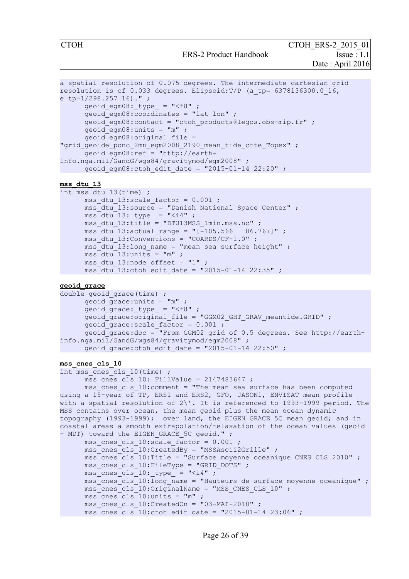CTOH ERS-2 2015 01

ERS-2 Product Handbook Issue : 1.1

Date : April 2016

```
a spatial resolution of 0.075 degrees. The intermediate cartesian grid 
resolution is of 0.033 degrees. Elipsoid: T/P (a tp= 6378136300.0 16,
e tp=1/298.257 16)." ;
      geoid_egm08: type = "<f8" ;
      q = 0 and q = 0 and q = 0 and q = 0 and q = 0.
      qeoid egm08: contact = "ctoh products@legos.obs-mip.fr" ;
      geoid egm08:units = "m" ;
      geoid egm08:original file =
"grid geoide ponc 2mn egm2008 2190 mean tide ctte Topex" ;
      geoid_egm08:ref = "http://earth-
info.nga.mil/GandG/wgs84/gravitymod/egm2008" ; 
     geoid egm08:ctoh edit date = "2015-01-14 22:20" ;
```
#### **mss\_dtu\_13**

```
int mss_dtu_13(time) ; 
       mss dtu 13:scale factor = 0.001 ;
       \bar{\text{ms}}dtu<sup>-13</sup>:source = "Danish National Space Center" ;
       \text{mss\_dtu\_13:\_type} = "<i4" ;
       \overline{\text{ms}}dtu\overline{13:}title = "DTU13MSS 1min.mss.nc" ;
       \text{mss} dtu 13: actual range = "[-105.566 86.767]" ;
       \overline{\text{mss}} dtu<sup>-13:</sup>Conventions = "COARDS/CF-1.0" ;
       mss dtu 13:long name = "mean sea surface height" ;
       mss dtu 13:units = "m" ;
       mss_dtu_13:node_offset = "1" ; 
       \text{mss} dtu 13:ctoh edit date = "2015-01-14 22:35" ;
```
#### **geoid\_grace**

```
double geoid_grace(time) ; 
     geoid grace: units = "m" ;
      geoid_grace:_type_ = "<f8" ; 
      geoid grace: original file = "GGM02 GHT GRAV meantide.GRID" ;
      geoid_grace:scale_factor = 0.001 ; 
      geoid_grace:doc = "From GGM02 grid of 0.5 degrees. See http://earth-
info.nga.mil/GandG/wgs84/gravitymod/egm2008" ; 
     geoid grace:ctoh edit date = "2015-01-14 22:50" ;
```
#### **mss\_cnes\_cls\_10**

```
int mss cnes cls 10(time) ;
      mss cnes cls 10: FillValue = 2147483647 ;
      \overline{\text{mss}} cnes cls<sup>10:</sup>comment = "The mean sea surface has been computed
using a 15-year of TP, ERS1 and ERS2, GFO, JASON1, ENVISAT mean profile 
with a spatial resolution of 2\'. It is referenced to 1993-1999 period. The
MSS contains over ocean, the mean geoid plus the mean ocean dynamic 
topography (1993-1999); over land, the EIGEN GRACE 5C mean geoid; and in
coastal areas a smooth extrapolation/relaxation of the ocean values (geoid 
+ MDT) toward the EIGEN GRACE 5C geoid." ;
      mss cnes cls 10:scale factor = 0.001 ;
       \overline{\text{mss}} cnes cls 10:CreatedBy = "MSSAscii2Grille" ;
      \text{mss} cnes cls<sup>10</sup>:Title = "Surface moyenne oceanique CNES CLS 2010" ;
      mss cnes cls 10:FileType = "GRID DOTS" ;
      \text{mss\_cnes\_cls\_10:\_type\_ = "<i>i4"</i>;
      mss cnes cls 10:long name = "Hauteurs de surface moyenne oceanique" ;
      \overline{\text{mss}} cnes cls 10:\overline{\text{OriginalName}} = \text{''MSS} CNES CLS 10" ;
      \overline{\text{mss}} cnes cls 10:units = "m" ;
      mss cnes cls 10:CreatedOn = "03-MAI-2010" ;
      \overline{\text{mss}} cnes cls 10:ctoh edit date = "2015-01-14 23:06" ;
```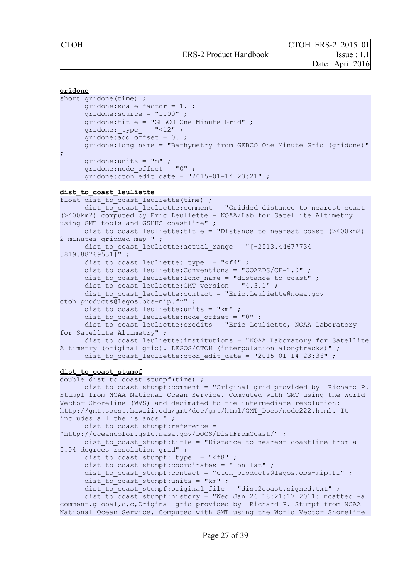```
gridone
short gridone(time) ; 
      gridone: scale factor = 1.;
      qridone: source = "1.00" ;
      gridone:title = "GEBCO One Minute Grid" ; 
      gridone: _type_ = " <i2" ;
      gridone:add_offset = 0. ; 
      gridone: long name = "Bathymetry from GEBCO One Minute Grid (gridone)"
; 
      gridone:units = "m" ; 
      gridone:node_offset = "0" ; 
      gridone: ctoh_edit date = "2015-01-14 23:21" ;
dist_to_coast_leuliette
float dist to coast leuliette(time) ;
      dist to coast leuliette: comment = "Gridded distance to nearest coast
(>400km2) computed by Eric Leuliette - NOAA/Lab for Satellite Altimetry 
using GMT tools and GSHHS coastline" ;
      dist to coast leuliette:title = "Distance to nearest coast (>400km2)
2 minutes \overline{grid}ded map ";
      dist to coast leuliette: actual range = "[-2513.446777343819.88769531]" ; 
      dist_to_coast_leuliette:_type_ = "<f4" ; 
      dist_to_coast_leuliette:Conventions = "COARDS/CF-1.0" ; 
      dist_to_coast_leuliette:long_name = "distance to coast" ; 
      dist_to_coast_leuliette:GMT version = "4.3.1" ;
      dist to coast leuliette: contact = "Eric.Leuliette@noaa.gov
ctoh products@legos.obs-mip.fr" ;
      dist_to_coast_leuliette:units = "km" ; 
      dist_to_coast_leuliette:node_offset = "0" ; 
      dist to coast leuliette: credits = "Eric Leuliette, NOAA Laboratory
for Satellite Altimetry" ; 
      dist to coast leuliette: institutions = "NOAA Laboratory for Satellite
Altimetry (original grid). LEGOS/CTOH (interpolation alongtracks)" ; 
      dist to coast leuliette: ctoh edit date = "2015-01-14 23:36" ;
dist_to_coast_stumpf
double dist to coast stumpf(time) ;
      dist to coast stumpf: comment = "Original grid provided by Richard P.
Stumpf from NOAA National Ocean Service. Computed with GMT using the World 
Vector Shoreline (WVS) and decimated to the intermediate resolution: 
http://gmt.soest.hawaii.edu/gmt/doc/gmt/html/GMT_Docs/node222.html. It 
includes all the islands." ; 
      dist to coast stumpf: reference =
"http://oceancolor.gsfc.nasa.gov/DOCS/DistFromCoast/" ; 
      dist to coast stumpf: title = "Distance to nearest coastline from a
0.04 degrees resolution grid" ;
      dist to coast stumpf: type = "<f8" ;
      dist to coast stumpf: coordinates = "lon lat" ;
      dist to coast stumpf: contact = "ctoh products@legos.obs-mip.fr" ;
      dist to coast stumpf: units = "km" ;
      dist to coast stumpf: original file = "dist2coast.signed.txt" ;
      dist<sup>-to</sup>coast<sup>-</sup>stumpf:history = "Wed Jan 26 18:21:17 2011: ncatted -a
comment, qlobal, c, c, Original grid provided by Richard P. Stumpf from NOAA
National Ocean Service. Computed with GMT using the World Vector Shoreline
```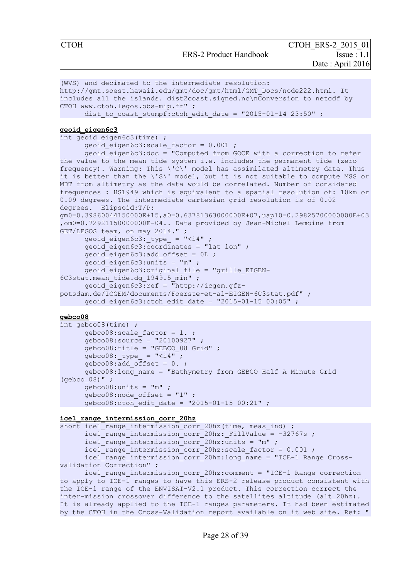```
(WVS) and decimated to the intermediate resolution: 
http://gmt.soest.hawaii.edu/gmt/doc/gmt/html/GMT_Docs/node222.html. It 
includes all the islands. dist2coast.signed.nc\nConversion to netcdf by 
CTOH www.ctoh.legos.obs-mip.fr" ; 
      dist to coast stumpf:ctoh_edit_date = "2015-01-14 23:50" ;
geoid_eigen6c3
int geoid eigen6c3(time) ;
      geoid eigen6c3:scale factor = 0.001 ;
      geoid_eigen6c3:doc = "Computed from GOCE with a correction to refer 
the value to the mean tide system i.e. includes the permanent tide (zero
frequency). Warning: This \'C\' model has assimilated altimetry data. Thus 
it is better than the \'S\' model, but it is not suitable to compute MSS or
MDT from altimetry as the data would be correlated. Number of considered 
frequences : HS1949 which is equivalent to a spatial resolution of: 10km or
0.09 degrees. The intermediate cartesian grid resolution is of 0.02 
degrees. Elipsoid:T/P: 
qm0=0.39860044150000E+15, a0=0.63781363000000E+07, uapl0=0.29825700000000E+03
,om0=0.72921150000000E-04.. Data provided by Jean-Michel Lemoine from 
GET/LEGOS team, on may 2014." ; 
      geoid_eigen6c3: type = "<i>i4</i>" ;
      geoid_eigen6c3:coordinates = "lat lon" ; 
      geoid eigen6c3:add offset = 0L ;
      geoid eigen6c3:units = "m" ;
      geoid_eigen6c3:original_file = "grille_EIGEN-
6C3stat.mean tide.dg 1949.5 min" ;
      geoid_eigen6c3:ref = "http://icgem.gfz-
potsdam.de/ICGEM/documents/Foerste-et-al-EIGEN-6C3stat.pdf" ; 
      geoid eigen6c3:ctoh edit date = "2015-01-15 00:05" ;
```
#### **gebco08**

```
int gebco08(time) ; 
      gebco08:scale_factor = 1. ; 
      qebco08:source = "20100927";
      gebco08:title = "GEBCO_08 Grid" ; 
      gebco08: type = "<i>i4</i>" ;
      gebco08:add offset = 0.;
      gebco08:long_name = "Bathymetry from GEBCO Half A Minute Grid 
(gebco_08)" ; 
      qebco08:units = "m" ;
      gebco08:node_offset = "1" ; 
      geb \text{co}08:\text{ctoh} edit date = "2015-01-15 00:21" ;
```
#### **ice1\_range\_intermission\_corr\_20hz**

```
short ice1 range intermission corr 20hz(time, meas ind) ;
      ice1_range_intermission_corr_20hz:_FillValue = -32767s ;
      \bar{i}ce1 range intermission corr 20hz:units = "m" ;
      \text{ice1} range intermission corr 20hz: scale factor = 0.001 ;
      ice1_range_intermission_corr_20hz:long_name = "ICE-1 Range Cross-
validation Correction" ;
```
ice1 range intermission corr 20hz:comment = "ICE-1 Range correction to apply to ICE-1 ranges to have this ERS-2 release product consistent with the ICE-1 range of the ENVISAT-V2.1 product. This correction correct the inter-mission crossover difference to the satellites altitude (alt\_20hz). It is already applied to the ICE-1 ranges parameters. It had been estimated by the CTOH in the Cross-Validation report available on it web site. Ref: "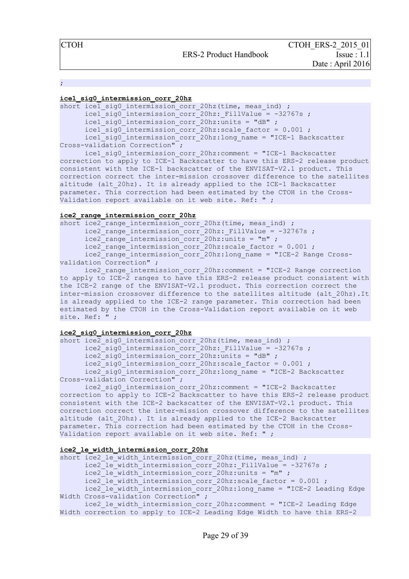;

#### **ice1\_sig0\_intermission\_corr\_20hz**

short icel sig0 intermission corr 20hz(time, meas ind) ;  $\text{icel}$  sig0 intermission corr 20hz: FillValue = -32767s ;  $\bar{i}$ ce1 sig0 intermission corr 20hz:units = "dB" ;  $\text{ice1}$  sig0 intermission corr 20hz: scale factor = 0.001 ; ice1\_sig0\_intermission\_corr\_20hz:long\_name = "ICE-1 Backscatter Cross-validation Correction" ;

ice1\_sig0\_intermission\_corr\_20hz:comment = "ICE-1 Backscatter correction to apply to ICE-1 Backscatter to have this ERS-2 release product consistent with the ICE-1 backscatter of the ENVISAT-V2.1 product. This correction correct the inter-mission crossover difference to the satellites altitude (alt 20hz). It is already applied to the ICE-1 Backscatter parameter. This correction had been estimated by the CTOH in the Cross-Validation report available on it web site. Ref: " ;

#### **ice2\_range\_intermission\_corr\_20hz**

short ice2 $\overline{\phantom{a}}$ range intermission corr 20hz(time, meas ind) ;  $\frac{1}{2}$  range intermission corr 20hz: FillValue = -32767s ; ice2\_range\_intermission\_corr\_20hz:units = "m"; ice2\_range\_intermission\_corr\_20hz:scale\_factor = 0.001 ; ice2 range intermission corr 20hz:long name = "ICE-2 Range Crossvalidation Correction" ;

ice2 range intermission corr 20hz:comment = "ICE-2 Range correction to apply to ICE-2 ranges to have this ERS-2 release product consistent with the ICE-2 range of the ENVISAT-V2.1 product. This correction correct the inter-mission crossover difference to the satellites altitude (alt\_20hz).It is already applied to the ICE-2 range parameter. This correction had been estimated by the CTOH in the Cross-Validation report available on it web site. Ref: " ;

#### **ice2\_sig0\_intermission\_corr\_20hz**

short ice2 sig0 intermission corr 20hz(time, meas ind) ;  $ice2$  sig0 intermission corr 20hz: FillValue = -32767s ; ice2\_sig0\_intermission\_corr\_20hz:units = "dB" ; ice2\_sig0\_intermission\_corr\_20hz:scale\_factor = 0.001 ; ice2 sig0 intermission corr 20hz:long name = "ICE-2 Backscatter Cross-validation Correction" ;

ice2\_sig0\_intermission\_corr\_20hz:comment = "ICE-2 Backscatter correction to apply to ICE-2 Backscatter to have this ERS-2 release product consistent with the ICE-2 backscatter of the ENVISAT-V2.1 product. This correction correct the inter-mission crossover difference to the satellites altitude (alt\_20hz). It is already applied to the ICE-2 Backscatter parameter. This correction had been estimated by the CTOH in the Cross-Validation report available on it web site. Ref: " ;

#### **ice2\_le\_width\_intermission\_corr\_20hz**

short ice2 le width intermission corr 20hz (time, meas ind) ; ice2 le width intermission corr<sup>20hz:</sup> FillValue = -32767s ; ice2 le width intermission corr 20hz:units = "m" ; ice2\_le\_width\_intermission\_corr\_20hz:scale\_factor = 0.001 ;  $\bar{c}$ ice2<sup>-</sup>le<sup>width\_intermission\_corr<sup>-</sup>20hz:long\_name = "ICE-2 Leading Edge</sup> Width Cross-validation Correction" ; ice2\_le\_width\_intermission\_corr\_20hz:comment = "ICE-2 Leading Edge

Width correction to apply to ICE-2 Leading Edge Width to have this ERS-2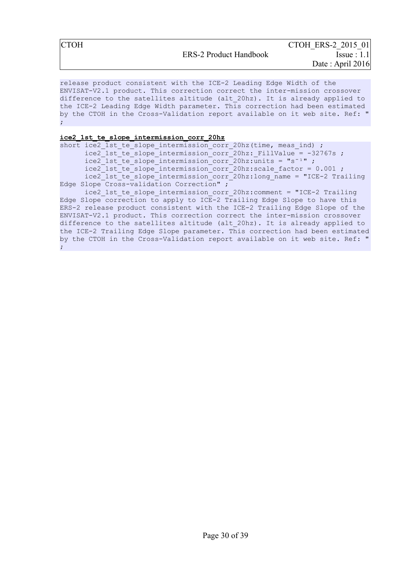release product consistent with the ICE-2 Leading Edge Width of the ENVISAT-V2.1 product. This correction correct the inter-mission crossover difference to the satellites altitude (alt\_20hz). It is already applied to the ICE-2 Leading Edge Width parameter. This correction had been estimated by the CTOH in the Cross-Validation report available on it web site. Ref: " ;

#### **ice2\_1st\_te\_slope\_intermission\_corr\_20hz**

short ice2 1st te slope intermission corr 20hz(time, meas ind) ; ice2 1st te slope intermission corr 20hz: FillValue =  $-32767s$  ;  $\bar{c}$  ice2<sup>-1st</sup> te<sup>-slope</sup> intermission<sup>-</sup>corr<sup>-20hz:units = "s<sup>-1"</sup>;</sup>  $\frac{1}{1}$  ice2<sup>-1</sup>st<sup>-1</sup> te<sup>-1</sup> slope<sup>-</sup>intermission<sup>-</sup>corr<sup>-20hz</sup>:scale factor = 0.001 ; ice2\_1st\_te\_slope\_intermission\_corr\_20hz:long\_name = "ICE-2 Trailing Edge Slope Cross-validation Correction" ; ice2 1st te slope intermission corr 20hz: comment = "ICE-2 Trailing

Edge Slope correction to apply to ICE-2 Trailing Edge Slope to have this ERS-2 release product consistent with the ICE-2 Trailing Edge Slope of the ENVISAT-V2.1 product. This correction correct the inter-mission crossover difference to the satellites altitude (alt\_20hz). It is already applied to the ICE-2 Trailing Edge Slope parameter. This correction had been estimated by the CTOH in the Cross-Validation report available on it web site. Ref: " ;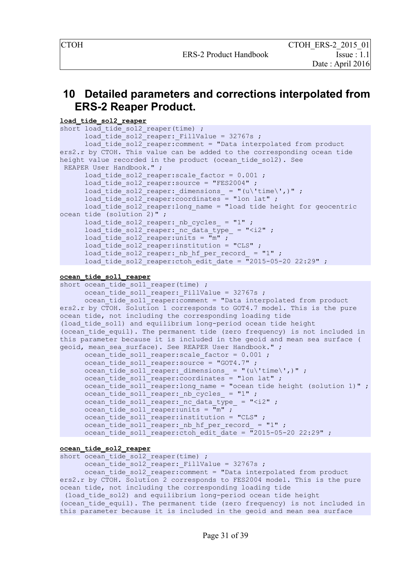### <span id="page-31-0"></span> **10 Detailed parameters and corrections interpolated from ERS-2 Reaper Product.**

```
load_tide_sol2_reaper
short load tide sol2 reaper(time) ;
      load tide sol2<sup>-</sup>reaper: FillValue = 32767s ;
      load tide sol2 reaper: comment = "Data interpolated from product
ers2.r by CTOH. This value can be added to the corresponding ocean tide 
height value recorded in the product (ocean tide sol2). See
 REAPER User Handbook." ;
      load tide sol2 reaper: scale factor = 0.001;
      load tide sol2 reaper: source = "FES2004" ;
      load tide sol2 reaper: dimensions = "(u\'time\',)" ;
      load tide sol2 reaper:coordinates = "lon lat" ;
      load tide sol2<sup>-</sup>reaper:long name = "load tide height for geocentric
ocean tide (solution 2)";
      load tide sol2 reaper: nb cycles = "1" ;
      load\_tide\_sol2 reaper: nc data type = "<i2" ;
      load tide sol2 reaper:units = "m" ;
      load tide sol2 reaper: institution = "CLS" ;
      load tide sol2 reaper: nb hf per record = "1" ;
      load\_tide\_sol2\_reaper:ctoh\_edit\_date = "2015-05-20 22:29" ;
ocean_tide_sol1_reaper
short ocean tide sol1 reaper(time) ;
      \bar{C} ocean tide sol1 reaper: FillValue = 32767s ;
      \bar{c} \bar{c} \bar{c} \bar{c} \bar{c} \bar{c} \bar{c} \bar{c} \bar{c} \bar{c} \bar{c} \bar{c} \bar{c} \bar{c} \bar{c} \bar{c} \bar{c} \bar{c} \bar{c} \bar{c} \bar{c} \bar{c} \bar{c} \bar{c} \bar{c} \bar{c} \bar{c} \bar{cers2.r by CTOH. Solution 1 corresponds to GOT4.7 model. This is the pure 
ocean tide, not including the corresponding loading tide 
(load_tide_sol1) and equilibrium long-period ocean tide height 
(ocean tide equil). The permanent tide (zero frequency) is not included in
this parameter because it is included in the geoid and mean sea surface (
geoid, mean sea surface). See REAPER User Handbook." ;
      ocean tide sol1 reaper: scale factor = 0.001 ;
      ocean_tide_sol1_reaper:source = "GOT4.7" ;
      ocean_tide_sol1_reaper:_dimensions_ = "(u\'time\',)" ;
      ocean_tide_sol1_reaper:coordinates = "lon lat" ;
      ocean_tide_sol1_reaper:long_name = "ocean tide height (solution 1)" ;
      ocean\_tide\_coll\_reaper:_nb\_cycles = "1" ;
      ocean\_tide\_coll\_reaper: Inc\_data\_type = "< i2" ;
      ocean tide sol1 reaper:units = \overline{m}" ;
      ocean tide soll reaper: institution = "CLS" ;
```
ocean tide sol1 reaper: nb hf per record = "1" ; ocean\_tide\_sol1\_reaper:ctoh\_edit\_date =  $\sqrt{2015-05-20}$  22:29" ;

#### **ocean\_tide\_sol2\_reaper**

```
short ocean tide sol2 reaper(time) ;
```
ocean\_tide\_sol2\_reaper: FillValue =  $32767s$  ; ocean\_tide\_sol2\_reaper:comment = "Data interpolated from product ers2.r by CTOH. Solution 2 corresponds to FES2004 model. This is the pure ocean tide, not including the corresponding loading tide (load\_tide\_sol2) and equilibrium long-period ocean tide height (ocean tide equil). The permanent tide (zero frequency) is not included in this parameter because it is included in the geoid and mean sea surface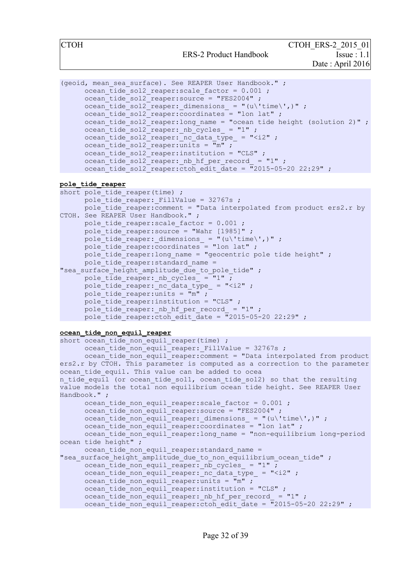ERS-2 Product Handbook Issue : 1.1

```
(geoid, mean sea surface). See REAPER User Handbook." ;
      ocean tide sol2 reaper: scale factor = 0.001;
      ocean_tide_sol2_reaper:source = "FES2004" ;
      ocean_tide_sol2_reaper: dimensions = "(u\'time\',)" ;
      ocean tide sol2 reaper:coordinates = "lon lat" ;
     ocean tide sol2 reaper:long name = "ocean tide height (solution 2)" ;
      ocean\_tide\_sol2\_reaper:_nb\_cycles_ = "1" ;
      ocean tide sol2 reaper: nc data type = "<i2" ;
      ocean tide sol2_reaper:units = \bar{m}" ;
      ocean tide sol2 reaper: institution = "CLS" ;
      ocean_tide_sol2_reaper: nb hf per_record_ = "1" ;
      ocean\_tide\_sol2\_reaper:ctoh edit date = \overline{''}2015-05-20 22:29" ;
```

```
pole_tide_reaper
```

```
short pole tide reaper(time) ;
      pole tide reaper: FillValue = 32767s ;
      pole tide reaper: comment = "Data interpolated from product ers2.r by
CTOH. See REAPER User Handbook." ;
     pole tide reaper: scale factor = 0.001;
      pole tide reaper: source = "Wahr [1985]" ;
      pole tide reaper: dimensions = "(u\'time\',)" ;
      pole_tide_reaper:coordinates = "lon lat" ;
      pole_tide_reaper:long_name = "geocentric pole tide height" ;
      pole_tide_reaper: standard name =
"sea surface height amplitude due to pole tide" ;
     pole tide reaper: nb_cycles = "1" ;
     pole tide reaper: nc data type = "<i2" ;
     pole tide reaper:units = "m" ;
     pole tide reaper: institution = "CLS" ;
     pole tide reaper: nb hf per record = "1" ;
     pole tide reaper: ctoh edit date = \sqrt{2015-05-20} 22:29" ;
```
#### **ocean\_tide\_non\_equil\_reaper**

```
short ocean_tide_non equil reaper(time) ;
      ocean tide non equil reaper: FillValue = 32767s ;
      ocean tide non equil reaper: comment = "Data interpolated from product
ers2.r by CTOH. This parameter is computed as a correction to the parameter
ocean tide equil. This value can be added to ocea
n tide equil (or ocean tide sol1, ocean tide sol2) so that the resulting
value models the total non equilibrium ocean tide height. See REAPER User 
Handbook." ;
      ocean tide non equil reaper: scale factor = 0.001 ;
      ocean tide non equil reaper: source = "FES2004" ;
      ocean tide non equil reaper: dimensions = "(u\'time\',)" ;
      ocean tide non equil reaper: coordinates = "lon lat" ;
      ocean_tide_non_equil_reaper:long_name = "non-equilibrium long-period
ocean tide \overline{height}" ;
     ocean tide non equil reaper: standard name =
"sea surface height amplitude due to non equilibrium ocean tide" ;
      ocean tide non equil reaper: nb cycles = "1" ;
      ocean tide non equil reaper: nc data type = "<i2" ;
      ocean_tide_non_equil_reaper:\overline{u}nits = \overline{m}" ;
      ocean\_tide\_non\_equil\_reaper:institution = "CLS" ;
      ocean\_tide\_non\_equil\_reaper: _nb_hf\_per\_record = "1" ;ocean\_tide\_non\_equil\_reaper:ctoh edit date = \frac{1}{2}2015-05-20 22:29" ;
```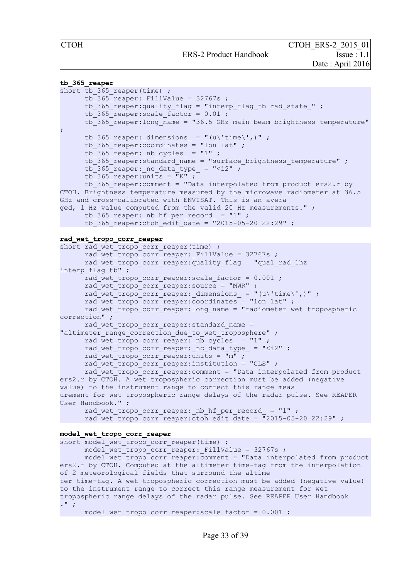#### **tb\_365\_reaper**

```
short tb 365 reaper(time) ;
      tb^-365 reaper: FillValue = 32767s ;
      tb 365 reaper: quality flag = "interp flag tb rad state " ;
      tb 365 reaper: scale factor = 0.01 ;
      tb_365_reaper:long_name = "36.5 GHz main beam brightness temperature"
;
      tb 365 reaper: dimensions = "(u\'time\',)" ;
      tb 365 reaper: coordinates = "lon lat" ;
      tb_365_reaper: nb cycles = "1" ;
      tb 365 reaper: standard name = "surface brightness temperature" ;
      \overline{b} 365 reaper: nc data type = "<i2" ;
      \overline{16} 365 reaper: units = "K";
      tb_365_reaper:comment = "Data interpolated from product ers2.r by 
CTOH. Brightness temperature measured by the microwave radiometer at 36.5 
GHz and cross-calibrated with ENVISAT. This is an avera
ged, 1 Hz value computed from the valid 20 Hz measurements." ;
      tb 365 reaper: nb hf per record = "1" ;
      \text{tb} 365 reaper:\text{ctoh} edit date = \frac{1}{2}015-05-20 22:29" ;
rad_wet_tropo_corr_reaper
short rad_wet_tropo_corr_reaper(time) ;
      rad_wet_tropo_corr_reaper:_FillValue = 32767s ;
      rad_wet_tropo_corr_reaper:\overline{quality_f}lag = "qual rad 1hz
interp flag tb" ;
      rad_wet_tropo_corr_reaper:scale_factor = 0.001 ;
      rad wet tropo corr reaper: source = "MWR" ;
      rad wet tropo corr reaper: dimensions = "(u\'time\',)" ;
      rad_wet_tropo_corr_reaper:coordinates = "lon lat" ;
      rad_wet_tropo_corr_reaper:long_name = "radiometer wet tropospheric 
correction" ;
     rad wet tropo corr reaper: standard name =
"altimeter range correction due to wet troposphere" ;
      rad wet tropo corr reaper: nb cycles = "1" ;
      rad wet tropo corr reaper: nc data type = "<i2" ;
```
rad wet tropo corr reaper:  $\overline{u}$ nits =  $\overline{u}$ m" ;

```
rad_wet_tropo_corr_reaper:institution = "CLS" ;
```
rad wet tropo corr reaper: comment = "Data interpolated from product ers2.r by CTOH. A wet tropospheric correction must be added (negative value) to the instrument range to correct this range meas urement for wet tropospheric range delays of the radar pulse. See REAPER User Handbook." ;

```
rad wet tropo corr reaper: nb hf per record = "1" ;
rad wet tropo corr reaper:ctoh edit date = "2015-05-20 22:29" ;
```
**model\_wet\_tropo\_corr\_reaper**

```
short model wet tropo corr reaper(time) ;
      model wet tropo corr reaper: FillValue = 32767s ;
     model wet tropo corr reaper: comment = "Data interpolated from product
ers2.r by CTOH. Computed at the altimeter time-tag from the interpolation 
of 2 meteorological fields that surround the altime
ter time-tag. A wet tropospheric correction must be added (negative value) 
to the instrument range to correct this range measurement for wet 
tropospheric range delays of the radar pulse. See REAPER User Handbook
. " ;
```

```
model wet tropo corr reaper: scale factor = 0.001 ;
```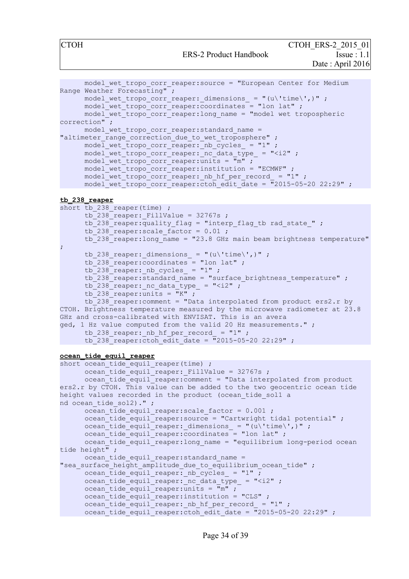ERS-2 Product Handbook Issue : 1.1

CTOH ERS-2 2015 01 Date : April 2016

```
model wet tropo corr reaper: source = "European Center for Medium
Range Weather Forecasting" ;
      model wet tropo corr reaper: dimensions = "(u\'time\',)" ;
      model wet tropo corr reaper: coordinates = "lon lat" ;
      model wet tropo corr reaper: long name = "model wet tropospheric
correction" ;
      model_wet_tropo_corr_reaper:standard_name = 
"altimeter range correction due to wet troposphere" ;
      model wet tropo corr reaper: nb cycles = "1" ;
      model wet tropo corr reaper: nc data type = "<i2" ;
      model wet tropo corr reaper:units = \overline{m}" ;
      model{\text{-}}\text{wet}{\text{-}}\text{tropo}\text{-}\text{corr}\text{-} \text{reaper:} institution = "ECMWF" ;
      model wet tropo corr reaper: nb hf per record = "1" ;
      model{\_}vet{\_}tropo{\_}corr{\_}reaper:ctoh{\_}edit{\_}date = "2015-05-20 22:29" ;
```
#### **tb\_238\_reaper**

```
short tb 238 reaper(time) ;
      \text{tb} 238 reaper: FillValue = 32767s ;
      tb<sup>-238</sup> reaper:quality flag = "interp flag tb rad state " ;
      \overline{1} tb<sup>-238</sup> reaper: scale factor = 0.01 ;
      \text{tb}^{-238} reaper: long name = "23.8 GHz main beam brightness temperature"
;
      tb 238 reaper: dimensions = "(u\'time\',)" ;
      tb 238 reaper: coordinates = "lon lat" ;
      \text{tb}<sup>238</sup>_reaper:_nb_cycles_ = "1" ;
      tb 238 reaper: standard name = "surface brightness temperature" ;
      tb 238 reaper: nc data type = "\langle i2" ;tb 238 reaper: units = "K" ;
      tb_238_reaper:comment = "Data interpolated from product ers2.r by 
CTOH. Brightness temperature measured by the microwave radiometer at 23.8 
GHz and cross-calibrated with ENVISAT. This is an avera
ged, 1 Hz value computed from the valid 20 Hz measurements." ;
      tb 238 reaper: nb hf per record = "1" ;
      tb<sup>238</sup> reaper:ctoh edit date = \sqrt{2015-05-20} 22:29" ;
```
#### **ocean\_tide\_equil\_reaper**

```
short ocean_tide_equil_reaper(time) ;
      ocean tide equil reaper: FillValue = 32767s ;
      ocean_tide_equil_reaper:comment = "Data interpolated from product 
ers2.r by CTOH. This value can be added to the two geocentric ocean tide 
height values recorded in the product (ocean tide sol1 a
nd ocean tide sol2).";
      ocean tide equil reaper: scale factor = 0.001 ;
      ocean tide equil reaper: source = "Cartwright tidal potential" ;
      ocean tide equil reaper: dimensions = "(u\'time\',)" ;
      ocean tide equil reaper: coordinates = "lon lat" ;
     ocean tide equil reaper: long name = "equilibrium long-period ocean
tide height" ;
      ocean tide equil reaper: standard name =
"sea surface height amplitude due to equilibrium ocean tide" ;
     ocean tide equil reaper: nb cycles = "1" ;
      ocean_tide_equil_reaper: nc data type = "<i2" ;
     ocean\_tide\_equil\_reaper:units = \frac{1}{m}" ;
     ocean\_tide\_equil\_reaper:institution = "CLS" ;
      ocean_tide_equil_reaper: nb hf per record = "1" ;
      ocean_tide_equil_reaper:ctoh_edit_date = \frac{1}{2015-05-20} 22:29" ;
```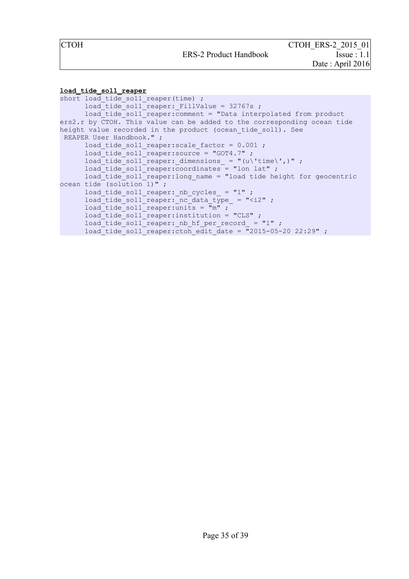#### **load\_tide\_sol1\_reaper**

```
short load tide sol1 reaper(time) ;
      load tide sol1 reaper: FillValue = 32767s ;
      load tide soll reaper: comment = "Data interpolated from product
ers2.r by CTOH. This value can be added to the corresponding ocean tide 
height value recorded in the product (ocean_tide_sol1). See
 REAPER User Handbook." ;
     load tide sol1 reaper: scale factor = 0.001 ;
      load tide sol1 reaper: source = "GOT4.7" ;
      load tide soll reaper: dimensions = "(u\'time\',)" ;
      \overline{\phantom{a}} load tide soll reaper: coordinates = "lon lat" ;
      load tide sol1 reaper:long name = "load tide height for geocentric
ocean tide (solution 1)";
      load tide sol1 reaper: nb cycles = "1" ;
      load tide sol1 reaper: nc data type = "<i2" ;
      load tide sol1 reaper:units = "m" ;
      \overline{\phantom{a}} load tide soll reaper: institution = "CLS" ;
      load tide soll reaper: nb hf per record = "1" ;
      load tide soll reaper: ctoh edit date = \frac{1}{2015-05-20} 22:29" ;
```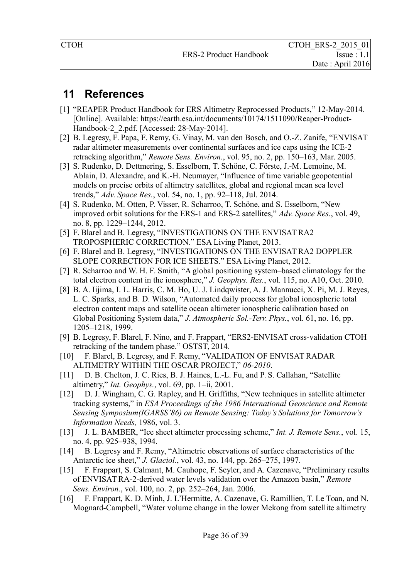# <span id="page-36-0"></span> **11 References**

- [1] "REAPER Product Handbook for ERS Altimetry Reprocessed Products," 12-May-2014. [Online]. Available: https://earth.esa.int/documents/10174/1511090/Reaper-Product-Handbook-2\_2.pdf. [Accessed: 28-May-2014].
- [2] B. Legresy, F. Papa, F. Remy, G. Vinay, M. van den Bosch, and O.-Z. Zanife, "ENVISAT radar altimeter measurements over continental surfaces and ice caps using the ICE-2 retracking algorithm," *Remote Sens. Environ.*, vol. 95, no. 2, pp. 150–163, Mar. 2005.
- [3] S. Rudenko, D. Dettmering, S. Esselborn, T. Schöne, C. Förste, J.-M. Lemoine, M. Ablain, D. Alexandre, and K.-H. Neumayer, "Influence of time variable geopotential models on precise orbits of altimetry satellites, global and regional mean sea level trends," *Adv. Space Res.*, vol. 54, no. 1, pp. 92–118, Jul. 2014.
- [4] S. Rudenko, M. Otten, P. Visser, R. Scharroo, T. Schöne, and S. Esselborn, "New improved orbit solutions for the ERS-1 and ERS-2 satellites," *Adv. Space Res.*, vol. 49, no. 8, pp. 1229–1244, 2012.
- [5] F. Blarel and B. Legresy, "INVESTIGATIONS ON THE ENVISAT RA2 TROPOSPHERIC CORRECTION." ESA Living Planet, 2013.
- [6] F. Blarel and B. Legresy, "INVESTIGATIONS ON THE ENVISAT RA2 DOPPLER SLOPE CORRECTION FOR ICE SHEETS." ESA Living Planet, 2012.
- [7] R. Scharroo and W. H. F. Smith, "A global positioning system–based climatology for the total electron content in the ionosphere," *J. Geophys. Res.*, vol. 115, no. A10, Oct. 2010.
- [8] B. A. Iijima, I. L. Harris, C. M. Ho, U. J. Lindqwister, A. J. Mannucci, X. Pi, M. J. Reyes, L. C. Sparks, and B. D. Wilson, "Automated daily process for global ionospheric total electron content maps and satellite ocean altimeter ionospheric calibration based on Global Positioning System data," *J. Atmospheric Sol.-Terr. Phys.*, vol. 61, no. 16, pp. 1205–1218, 1999.
- [9] B. Legresy, F. Blarel, F. Nino, and F. Frappart, "ERS2-ENVISAT cross-validation CTOH retracking of the tandem phase." OSTST, 2014.
- [10] F. Blarel, B. Legresy, and F. Remy, "VALIDATION OF ENVISAT RADAR ALTIMETRY WITHIN THE OSCAR PROJECT," *06-2010*.
- [11] D. B. Chelton, J. C. Ries, B. J. Haines, L.-L. Fu, and P. S. Callahan, "Satellite" altimetry," *Int. Geophys.*, vol. 69, pp. 1–ii, 2001.
- [12] D. J. Wingham, C. G. Rapley, and H. Griffiths, "New techniques in satellite altimeter tracking systems," in *ESA Proceedings of the 1986 International Geoscience and Remote Sensing Symposium(IGARSS'86) on Remote Sensing: Today's Solutions for Tomorrow's Information Needs,* 1986, vol. 3.
- [13] J. L. BAMBER, "Ice sheet altimeter processing scheme," *Int. J. Remote Sens.*, vol. 15, no. 4, pp. 925–938, 1994.
- [14] B. Legresy and F. Remy, "Altimetric observations of surface characteristics of the Antarctic ice sheet," *J. Glaciol.*, vol. 43, no. 144, pp. 265–275, 1997.
- [15] F. Frappart, S. Calmant, M. Cauhope, F. Seyler, and A. Cazenave, "Preliminary results of ENVISAT RA-2-derived water levels validation over the Amazon basin," *Remote Sens. Environ.*, vol. 100, no. 2, pp. 252–264, Jan. 2006.
- [16] F. Frappart, K. D. Minh, J. L'Hermitte, A. Cazenave, G. Ramillien, T. Le Toan, and N. Mognard-Campbell, "Water volume change in the lower Mekong from satellite altimetry